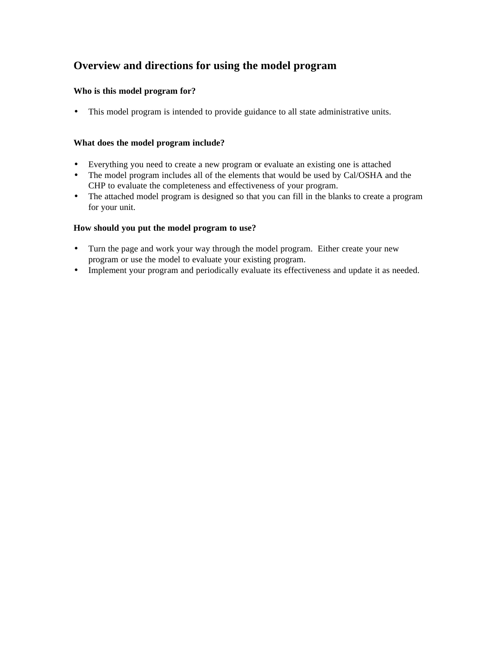#### **Overview and directions for using the model program**

#### **Who is this model program for?**

• This model program is intended to provide guidance to all state administrative units.

#### **What does the model program include?**

- Everything you need to create a new program or evaluate an existing one is attached
- The model program includes all of the elements that would be used by Cal/OSHA and the CHP to evaluate the completeness and effectiveness of your program.
- The attached model program is designed so that you can fill in the blanks to create a program for your unit.

#### **How should you put the model program to use?**

- Turn the page and work your way through the model program. Either create your new program or use the model to evaluate your existing program.
- Implement your program and periodically evaluate its effectiveness and update it as needed.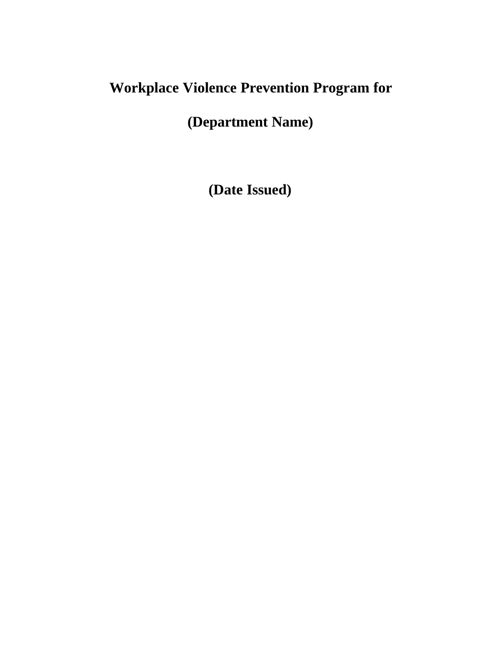# **Workplace Violence Prevention Program for**

**(Department Name)**

**(Date Issued)**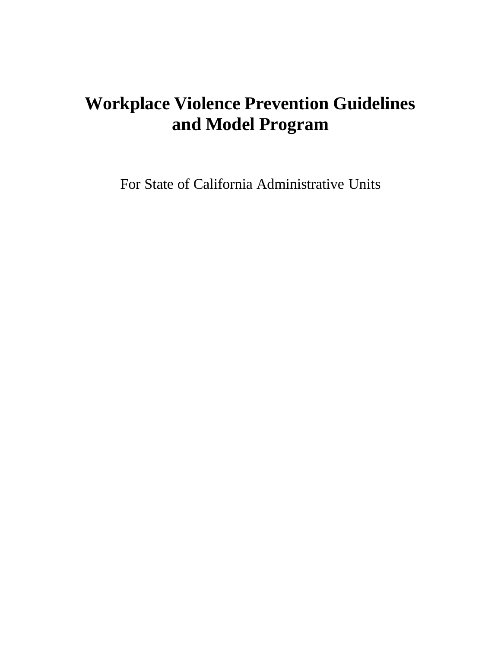# **Workplace Violence Prevention Guidelines and Model Program**

For State of California Administrative Units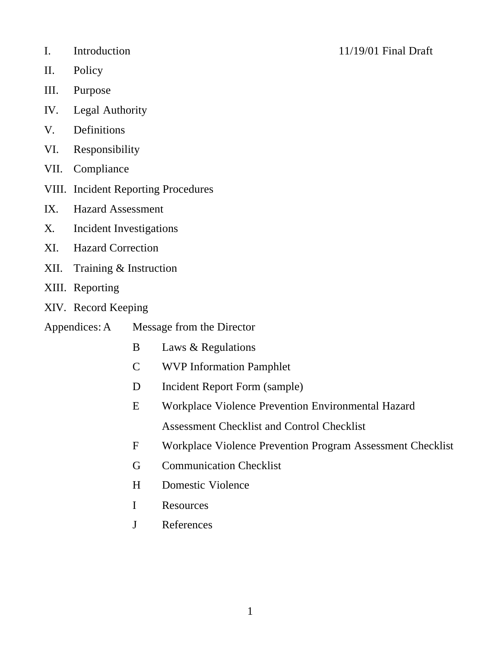- 
- II. Policy
- III. Purpose
- IV. Legal Authority
- V. Definitions
- VI. Responsibility
- VII. Compliance
- VIII. Incident Reporting Procedures
- IX. Hazard Assessment
- X. Incident Investigations
- XI. Hazard Correction
- XII. Training & Instruction
- XIII. Reporting
- XIV. Record Keeping
- Appendices: A Message from the Director
	- B Laws & Regulations
	- C WVP Information Pamphlet
	- D Incident Report Form (sample)
	- E Workplace Violence Prevention Environmental Hazard Assessment Checklist and Control Checklist
	- F Workplace Violence Prevention Program Assessment Checklist
	- G Communication Checklist
	- H Domestic Violence
	- I Resources
	- J References

## I. Introduction 11/19/01 Final Draft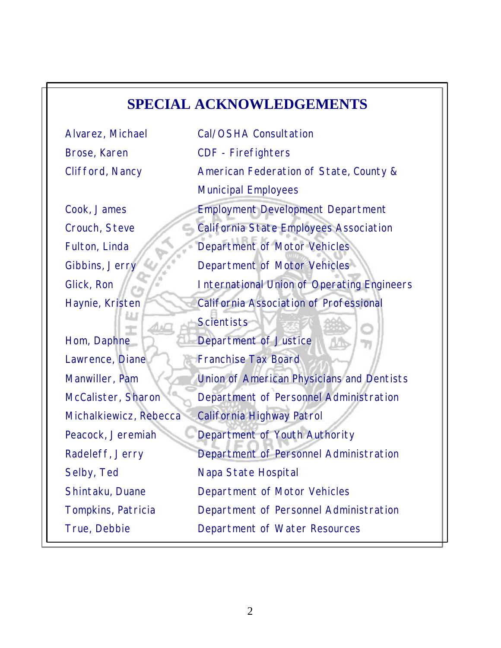# **SPECIAL ACKNOWLEDGEMENTS**

Lawrence, Diane **Franchise Tax Board** Selby, Ted Napa State Hospital

Alvarez, Michael Cal/OSHA Consultation Brose, Karen CDF - Firefighters Clifford, Nancy American Federation of State, County & Municipal Employees Cook, James Employment Development Department Crouch, Steve California State Employees Association Fulton, Linda Department of Motor Vehicles Gibbins, Jerry Department of Motor Vehicles Glick, Ron **International Union of Operating Engineers** Haynie, Kristen California Association of Professional **Scientists** Hom, Daphne **Department of Justice** Manwiller, Pam **Union of American Physicians and Dentists** McCalister, Sharon Department of Personnel Administration Michalkiewicz, Rebecca California Highway Patrol Peacock, Jeremiah Department of Youth Authority Radeleff, Jerry Department of Personnel Administration Shintaku, Duane Department of Motor Vehicles Tompkins, Patricia Department of Personnel Administration True, Debbie Department of Water Resources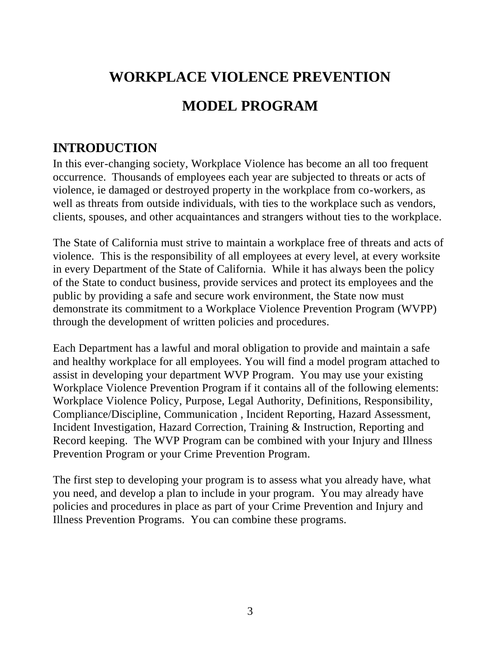# **WORKPLACE VIOLENCE PREVENTION MODEL PROGRAM**

## **INTRODUCTION**

In this ever-changing society, Workplace Violence has become an all too frequent occurrence. Thousands of employees each year are subjected to threats or acts of violence, ie damaged or destroyed property in the workplace from co-workers, as well as threats from outside individuals, with ties to the workplace such as vendors, clients, spouses, and other acquaintances and strangers without ties to the workplace.

The State of California must strive to maintain a workplace free of threats and acts of violence. This is the responsibility of all employees at every level, at every worksite in every Department of the State of California. While it has always been the policy of the State to conduct business, provide services and protect its employees and the public by providing a safe and secure work environment, the State now must demonstrate its commitment to a Workplace Violence Prevention Program (WVPP) through the development of written policies and procedures.

Each Department has a lawful and moral obligation to provide and maintain a safe and healthy workplace for all employees. You will find a model program attached to assist in developing your department WVP Program. You may use your existing Workplace Violence Prevention Program if it contains all of the following elements: Workplace Violence Policy, Purpose, Legal Authority, Definitions, Responsibility, Compliance/Discipline, Communication , Incident Reporting, Hazard Assessment, Incident Investigation, Hazard Correction, Training & Instruction, Reporting and Record keeping. The WVP Program can be combined with your Injury and Illness Prevention Program or your Crime Prevention Program.

The first step to developing your program is to assess what you already have, what you need, and develop a plan to include in your program. You may already have policies and procedures in place as part of your Crime Prevention and Injury and Illness Prevention Programs. You can combine these programs.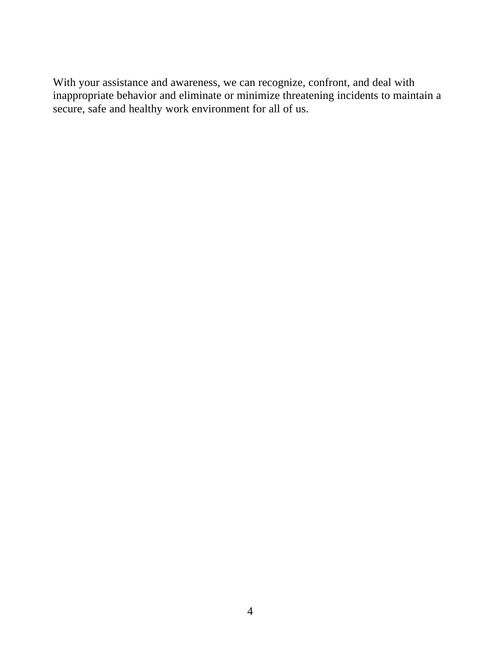With your assistance and awareness, we can recognize, confront, and deal with inappropriate behavior and eliminate or minimize threatening incidents to maintain a secure, safe and healthy work environment for all of us.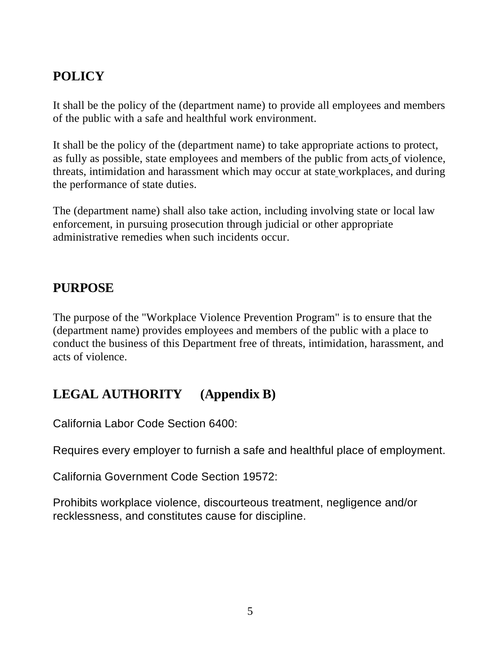# **POLICY**

It shall be the policy of the (department name) to provide all employees and members of the public with a safe and healthful work environment.

It shall be the policy of the (department name) to take appropriate actions to protect, as fully as possible, state employees and members of the public from acts of violence, threats, intimidation and harassment which may occur at state workplaces, and during the performance of state duties.

The (department name) shall also take action, including involving state or local law enforcement, in pursuing prosecution through judicial or other appropriate administrative remedies when such incidents occur.

# **PURPOSE**

The purpose of the "Workplace Violence Prevention Program" is to ensure that the (department name) provides employees and members of the public with a place to conduct the business of this Department free of threats, intimidation, harassment, and acts of violence.

# **LEGAL AUTHORITY (Appendix B)**

California Labor Code Section 6400:

Requires every employer to furnish a safe and healthful place of employment.

California Government Code Section 19572:

Prohibits workplace violence, discourteous treatment, negligence and/or recklessness, and constitutes cause for discipline.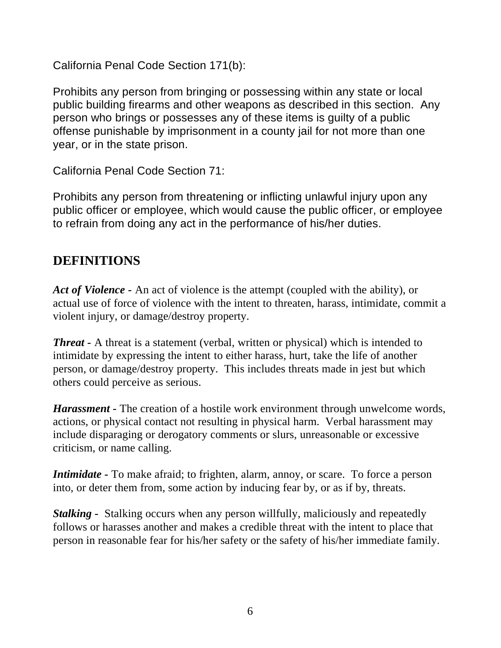California Penal Code Section 171(b):

Prohibits any person from bringing or possessing within any state or local public building firearms and other weapons as described in this section. Any person who brings or possesses any of these items is guilty of a public offense punishable by imprisonment in a county jail for not more than one year, or in the state prison.

California Penal Code Section 71:

Prohibits any person from threatening or inflicting unlawful injury upon any public officer or employee, which would cause the public officer, or employee to refrain from doing any act in the performance of his/her duties.

## **DEFINITIONS**

*Act of Violence -* An act of violence is the attempt (coupled with the ability), or actual use of force of violence with the intent to threaten, harass, intimidate, commit a violent injury, or damage/destroy property.

*Threat -* A threat is a statement (verbal, written or physical) which is intended to intimidate by expressing the intent to either harass, hurt, take the life of another person, or damage/destroy property. This includes threats made in jest but which others could perceive as serious.

*Harassment -* The creation of a hostile work environment through unwelcome words, actions, or physical contact not resulting in physical harm. Verbal harassment may include disparaging or derogatory comments or slurs, unreasonable or excessive criticism, or name calling.

*Intimidate* - To make afraid; to frighten, alarm, annoy, or scare. To force a person into, or deter them from, some action by inducing fear by, or as if by, threats.

*Stalking -* Stalking occurs when any person willfully, maliciously and repeatedly follows or harasses another and makes a credible threat with the intent to place that person in reasonable fear for his/her safety or the safety of his/her immediate family.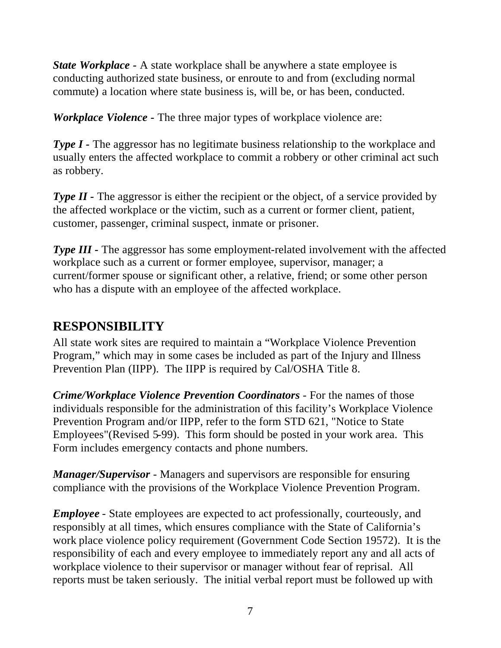*State Workplace -* A state workplace shall be anywhere a state employee is conducting authorized state business, or enroute to and from (excluding normal commute) a location where state business is, will be, or has been, conducted.

*Workplace Violence -* The three major types of workplace violence are:

*Type I* - The aggressor has no legitimate business relationship to the workplace and usually enters the affected workplace to commit a robbery or other criminal act such as robbery.

*Type II* - The aggressor is either the recipient or the object, of a service provided by the affected workplace or the victim, such as a current or former client, patient, customer, passenger, criminal suspect, inmate or prisoner.

*Type III* - The aggressor has some employment-related involvement with the affected workplace such as a current or former employee, supervisor, manager; a current/former spouse or significant other, a relative, friend; or some other person who has a dispute with an employee of the affected workplace.

# **RESPONSIBILITY**

All state work sites are required to maintain a "Workplace Violence Prevention Program," which may in some cases be included as part of the Injury and Illness Prevention Plan (IIPP). The IIPP is required by Cal/OSHA Title 8.

*Crime/Workplace Violence Prevention Coordinators* - For the names of those individuals responsible for the administration of this facility's Workplace Violence Prevention Program and/or IIPP, refer to the form STD 621, "Notice to State Employees"(Revised 5-99). This form should be posted in your work area. This Form includes emergency contacts and phone numbers.

*Manager/Supervisor* - Managers and supervisors are responsible for ensuring compliance with the provisions of the Workplace Violence Prevention Program.

*Employee* - State employees are expected to act professionally, courteously, and responsibly at all times, which ensures compliance with the State of California's work place violence policy requirement (Government Code Section 19572). It is the responsibility of each and every employee to immediately report any and all acts of workplace violence to their supervisor or manager without fear of reprisal. All reports must be taken seriously. The initial verbal report must be followed up with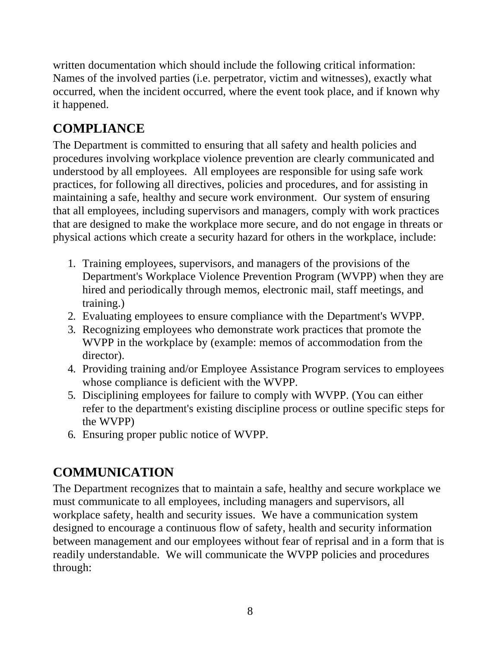written documentation which should include the following critical information: Names of the involved parties (i.e. perpetrator, victim and witnesses), exactly what occurred, when the incident occurred, where the event took place, and if known why it happened.

# **COMPLIANCE**

The Department is committed to ensuring that all safety and health policies and procedures involving workplace violence prevention are clearly communicated and understood by all employees. All employees are responsible for using safe work practices, for following all directives, policies and procedures, and for assisting in maintaining a safe, healthy and secure work environment. Our system of ensuring that all employees, including supervisors and managers, comply with work practices that are designed to make the workplace more secure, and do not engage in threats or physical actions which create a security hazard for others in the workplace, include:

- 1. Training employees, supervisors, and managers of the provisions of the Department's Workplace Violence Prevention Program (WVPP) when they are hired and periodically through memos, electronic mail, staff meetings, and training.)
- 2. Evaluating employees to ensure compliance with the Department's WVPP.
- 3. Recognizing employees who demonstrate work practices that promote the WVPP in the workplace by (example: memos of accommodation from the director).
- 4. Providing training and/or Employee Assistance Program services to employees whose compliance is deficient with the WVPP.
- 5. Disciplining employees for failure to comply with WVPP. (You can either refer to the department's existing discipline process or outline specific steps for the WVPP)
- 6. Ensuring proper public notice of WVPP.

# **COMMUNICATION**

The Department recognizes that to maintain a safe, healthy and secure workplace we must communicate to all employees, including managers and supervisors, all workplace safety, health and security issues. We have a communication system designed to encourage a continuous flow of safety, health and security information between management and our employees without fear of reprisal and in a form that is readily understandable. We will communicate the WVPP policies and procedures through: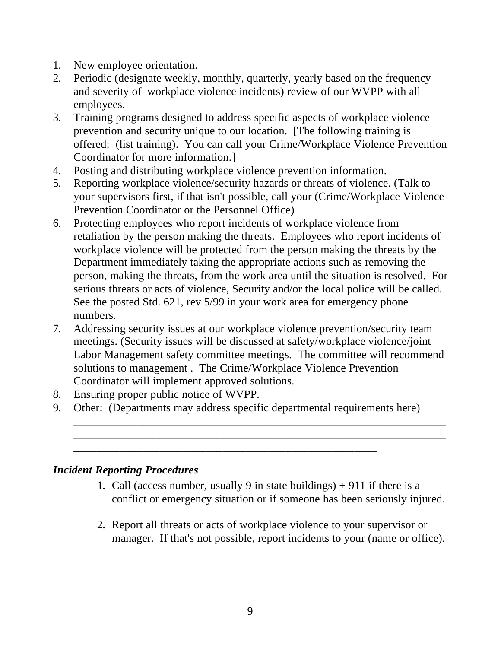- 1. New employee orientation.
- 2. Periodic (designate weekly, monthly, quarterly, yearly based on the frequency and severity of workplace violence incidents) review of our WVPP with all employees.
- 3. Training programs designed to address specific aspects of workplace violence prevention and security unique to our location. [The following training is offered: (list training). You can call your Crime/Workplace Violence Prevention Coordinator for more information.]
- 4. Posting and distributing workplace violence prevention information.
- 5. Reporting workplace violence/security hazards or threats of violence. (Talk to your supervisors first, if that isn't possible, call your (Crime/Workplace Violence Prevention Coordinator or the Personnel Office)
- 6. Protecting employees who report incidents of workplace violence from retaliation by the person making the threats. Employees who report incidents of workplace violence will be protected from the person making the threats by the Department immediately taking the appropriate actions such as removing the person, making the threats, from the work area until the situation is resolved. For serious threats or acts of violence, Security and/or the local police will be called. See the posted Std. 621, rev 5/99 in your work area for emergency phone numbers.
- 7. Addressing security issues at our workplace violence prevention/security team meetings. (Security issues will be discussed at safety/workplace violence/joint Labor Management safety committee meetings. The committee will recommend solutions to management . The Crime/Workplace Violence Prevention Coordinator will implement approved solutions.

\_\_\_\_\_\_\_\_\_\_\_\_\_\_\_\_\_\_\_\_\_\_\_\_\_\_\_\_\_\_\_\_\_\_\_\_\_\_\_\_\_\_\_\_\_\_\_\_\_\_\_\_\_\_\_\_\_\_\_\_\_\_\_\_\_ \_\_\_\_\_\_\_\_\_\_\_\_\_\_\_\_\_\_\_\_\_\_\_\_\_\_\_\_\_\_\_\_\_\_\_\_\_\_\_\_\_\_\_\_\_\_\_\_\_\_\_\_\_\_\_\_\_\_\_\_\_\_\_\_\_

- 8. Ensuring proper public notice of WVPP.
- 9. Other: (Departments may address specific departmental requirements here)

\_\_\_\_\_\_\_\_\_\_\_\_\_\_\_\_\_\_\_\_\_\_\_\_\_\_\_\_\_\_\_\_\_\_\_\_\_\_\_\_\_\_\_\_\_\_\_\_\_\_\_\_\_

## *Incident Reporting Procedures*

- 1. Call (access number, usually 9 in state buildings)  $+$  911 if there is a conflict or emergency situation or if someone has been seriously injured.
- 2. Report all threats or acts of workplace violence to your supervisor or manager. If that's not possible, report incidents to your (name or office).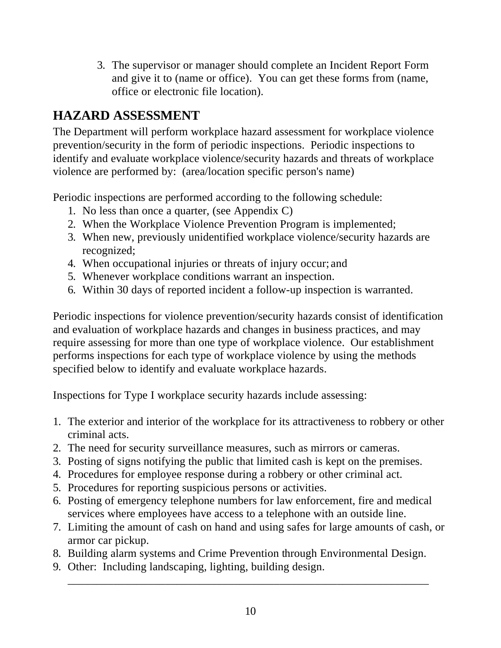3. The supervisor or manager should complete an Incident Report Form and give it to (name or office). You can get these forms from (name, office or electronic file location).

# **HAZARD ASSESSMENT**

The Department will perform workplace hazard assessment for workplace violence prevention/security in the form of periodic inspections. Periodic inspections to identify and evaluate workplace violence/security hazards and threats of workplace violence are performed by: (area/location specific person's name)

Periodic inspections are performed according to the following schedule:

- 1. No less than once a quarter, (see Appendix C)
- 2. When the Workplace Violence Prevention Program is implemented;
- 3. When new, previously unidentified workplace violence/security hazards are recognized;
- 4. When occupational injuries or threats of injury occur; and
- 5. Whenever workplace conditions warrant an inspection.
- 6. Within 30 days of reported incident a follow-up inspection is warranted.

Periodic inspections for violence prevention/security hazards consist of identification and evaluation of workplace hazards and changes in business practices, and may require assessing for more than one type of workplace violence. Our establishment performs inspections for each type of workplace violence by using the methods specified below to identify and evaluate workplace hazards.

Inspections for Type I workplace security hazards include assessing:

- 1. The exterior and interior of the workplace for its attractiveness to robbery or other criminal acts.
- 2. The need for security surveillance measures, such as mirrors or cameras.
- 3. Posting of signs notifying the public that limited cash is kept on the premises.
- 4. Procedures for employee response during a robbery or other criminal act.
- 5. Procedures for reporting suspicious persons or activities.
- 6. Posting of emergency telephone numbers for law enforcement, fire and medical services where employees have access to a telephone with an outside line.
- 7. Limiting the amount of cash on hand and using safes for large amounts of cash, or armor car pickup.
- 8. Building alarm systems and Crime Prevention through Environmental Design.
- 9. Other: Including landscaping, lighting, building design.

\_\_\_\_\_\_\_\_\_\_\_\_\_\_\_\_\_\_\_\_\_\_\_\_\_\_\_\_\_\_\_\_\_\_\_\_\_\_\_\_\_\_\_\_\_\_\_\_\_\_\_\_\_\_\_\_\_\_\_\_\_\_\_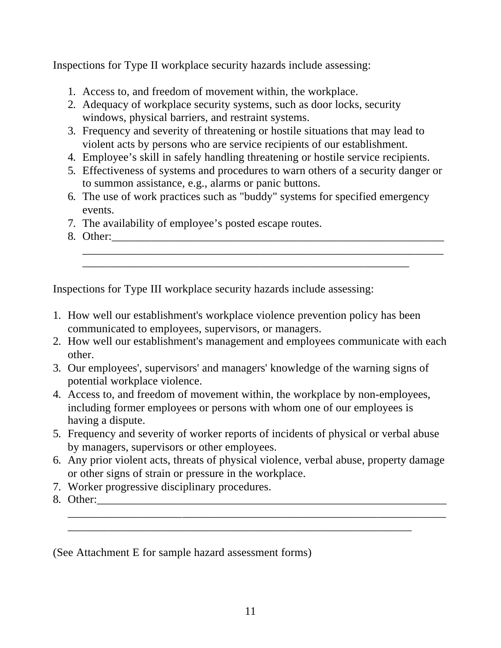Inspections for Type II workplace security hazards include assessing:

- 1. Access to, and freedom of movement within, the workplace.
- 2. Adequacy of workplace security systems, such as door locks, security windows, physical barriers, and restraint systems.
- 3. Frequency and severity of threatening or hostile situations that may lead to violent acts by persons who are service recipients of our establishment.
- 4. Employee's skill in safely handling threatening or hostile service recipients.
- 5. Effectiveness of systems and procedures to warn others of a security danger or to summon assistance, e.g., alarms or panic buttons.

\_\_\_\_\_\_\_\_\_\_\_\_\_\_\_\_\_\_\_\_\_\_\_\_\_\_\_\_\_\_\_\_\_\_\_\_\_\_\_\_\_\_\_\_\_\_\_\_\_\_\_\_\_\_\_\_\_\_\_\_\_\_\_

6. The use of work practices such as "buddy" systems for specified emergency events.

\_\_\_\_\_\_\_\_\_\_\_\_\_\_\_\_\_\_\_\_\_\_\_\_\_\_\_\_\_\_\_\_\_\_\_\_\_\_\_\_\_\_\_\_\_\_\_\_\_\_\_\_\_\_\_\_\_

- 7. The availability of employee's posted escape routes.
- 8. Other:\_\_\_\_\_\_\_\_\_\_\_\_\_\_\_\_\_\_\_\_\_\_\_\_\_\_\_\_\_\_\_\_\_\_\_\_\_\_\_\_\_\_\_\_\_\_\_\_\_\_\_\_\_\_\_\_\_\_

Inspections for Type III workplace security hazards include assessing:

- 1. How well our establishment's workplace violence prevention policy has been communicated to employees, supervisors, or managers.
- 2. How well our establishment's management and employees communicate with each other.
- 3. Our employees', supervisors' and managers' knowledge of the warning signs of potential workplace violence.
- 4. Access to, and freedom of movement within, the workplace by non-employees, including former employees or persons with whom one of our employees is having a dispute.
- 5. Frequency and severity of worker reports of incidents of physical or verbal abuse by managers, supervisors or other employees.
- 6. Any prior violent acts, threats of physical violence, verbal abuse, property damage or other signs of strain or pressure in the workplace.

\_\_\_\_\_\_\_\_\_\_\_\_\_\_\_\_\_\_\_\_\_\_\_\_\_\_\_\_\_\_\_\_\_\_\_\_\_\_\_\_\_\_\_\_\_\_\_\_\_\_\_\_\_\_\_\_\_\_\_\_\_\_\_\_\_\_

\_\_\_\_\_\_\_\_\_\_\_\_\_\_\_\_\_\_\_\_\_\_\_\_\_\_\_\_\_\_\_\_\_\_\_\_\_\_\_\_\_\_\_\_\_\_\_\_\_\_\_\_\_\_\_\_\_\_\_\_

- 7. Worker progressive disciplinary procedures.
- 8. Other:\_\_\_\_\_\_\_\_\_\_\_\_\_\_\_\_\_\_\_\_\_\_\_\_\_\_\_\_\_\_\_\_\_\_\_\_\_\_\_\_\_\_\_\_\_\_\_\_\_\_\_\_\_\_\_\_\_\_\_\_\_

(See Attachment E for sample hazard assessment forms)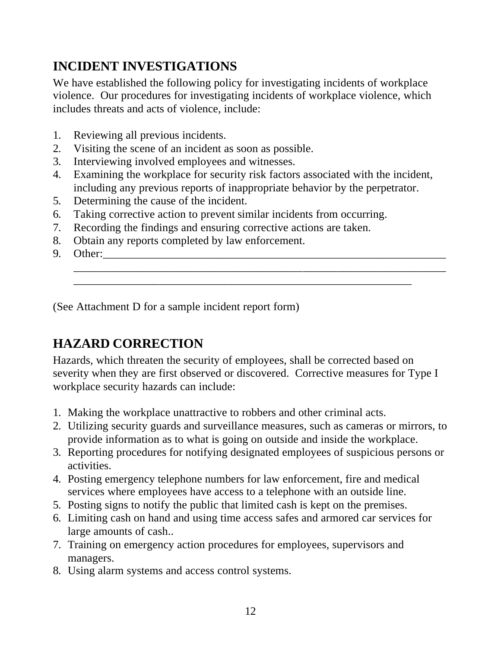# **INCIDENT INVESTIGATIONS**

We have established the following policy for investigating incidents of workplace violence. Our procedures for investigating incidents of workplace violence, which includes threats and acts of violence, include:

- 1. Reviewing all previous incidents.
- 2. Visiting the scene of an incident as soon as possible.
- 3. Interviewing involved employees and witnesses.
- 4. Examining the workplace for security risk factors associated with the incident, including any previous reports of inappropriate behavior by the perpetrator.

\_\_\_\_\_\_\_\_\_\_\_\_\_\_\_\_\_\_\_\_\_\_\_\_\_\_\_\_\_\_\_\_\_\_\_\_\_\_\_\_\_\_\_\_\_\_\_\_\_\_\_\_\_\_\_\_\_\_\_\_\_\_\_\_\_

\_\_\_\_\_\_\_\_\_\_\_\_\_\_\_\_\_\_\_\_\_\_\_\_\_\_\_\_\_\_\_\_\_\_\_\_\_\_\_\_\_\_\_\_\_\_\_\_\_\_\_\_\_\_\_\_\_\_\_

- 5. Determining the cause of the incident.
- 6. Taking corrective action to prevent similar incidents from occurring.
- 7. Recording the findings and ensuring corrective actions are taken.
- 8. Obtain any reports completed by law enforcement.
- 9. Other:

(See Attachment D for a sample incident report form)

# **HAZARD CORRECTION**

Hazards, which threaten the security of employees, shall be corrected based on severity when they are first observed or discovered. Corrective measures for Type I workplace security hazards can include:

- 1. Making the workplace unattractive to robbers and other criminal acts.
- 2. Utilizing security guards and surveillance measures, such as cameras or mirrors, to provide information as to what is going on outside and inside the workplace.
- 3. Reporting procedures for notifying designated employees of suspicious persons or activities.
- 4. Posting emergency telephone numbers for law enforcement, fire and medical services where employees have access to a telephone with an outside line.
- 5. Posting signs to notify the public that limited cash is kept on the premises.
- 6. Limiting cash on hand and using time access safes and armored car services for large amounts of cash..
- 7. Training on emergency action procedures for employees, supervisors and managers.
- 8. Using alarm systems and access control systems.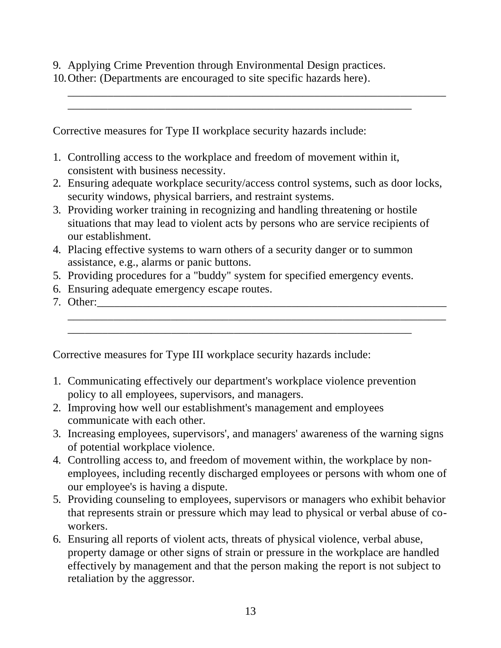9. Applying Crime Prevention through Environmental Design practices. 10.Other: (Departments are encouraged to site specific hazards here).

Corrective measures for Type II workplace security hazards include:

- 1. Controlling access to the workplace and freedom of movement within it, consistent with business necessity.
- 2. Ensuring adequate workplace security/access control systems, such as door locks, security windows, physical barriers, and restraint systems.

\_\_\_\_\_\_\_\_\_\_\_\_\_\_\_\_\_\_\_\_\_\_\_\_\_\_\_\_\_\_\_\_\_\_\_\_\_\_\_\_\_\_\_\_\_\_\_\_\_\_\_\_\_\_\_\_\_\_\_\_\_\_\_\_\_\_

\_\_\_\_\_\_\_\_\_\_\_\_\_\_\_\_\_\_\_\_\_\_\_\_\_\_\_\_\_\_\_\_\_\_\_\_\_\_\_\_\_\_\_\_\_\_\_\_\_\_\_\_\_\_\_\_\_\_\_\_

- 3. Providing worker training in recognizing and handling threatening or hostile situations that may lead to violent acts by persons who are service recipients of our establishment.
- 4. Placing effective systems to warn others of a security danger or to summon assistance, e.g., alarms or panic buttons.
- 5. Providing procedures for a "buddy" system for specified emergency events.

\_\_\_\_\_\_\_\_\_\_\_\_\_\_\_\_\_\_\_\_\_\_\_\_\_\_\_\_\_\_\_\_\_\_\_\_\_\_\_\_\_\_\_\_\_\_\_\_\_\_\_\_\_\_\_\_\_\_\_\_\_\_\_\_\_\_

- 6. Ensuring adequate emergency escape routes.
- 7. Other:

Corrective measures for Type III workplace security hazards include:

1. Communicating effectively our department's workplace violence prevention policy to all employees, supervisors, and managers.

\_\_\_\_\_\_\_\_\_\_\_\_\_\_\_\_\_\_\_\_\_\_\_\_\_\_\_\_\_\_\_\_\_\_\_\_\_\_\_\_\_\_\_\_\_\_\_\_\_\_\_\_\_\_\_\_\_\_\_\_

- 2. Improving how well our establishment's management and employees communicate with each other.
- 3. Increasing employees, supervisors', and managers' awareness of the warning signs of potential workplace violence.
- 4. Controlling access to, and freedom of movement within, the workplace by nonemployees, including recently discharged employees or persons with whom one of our employee's is having a dispute.
- 5. Providing counseling to employees, supervisors or managers who exhibit behavior that represents strain or pressure which may lead to physical or verbal abuse of coworkers.
- 6. Ensuring all reports of violent acts, threats of physical violence, verbal abuse, property damage or other signs of strain or pressure in the workplace are handled effectively by management and that the person making the report is not subject to retaliation by the aggressor.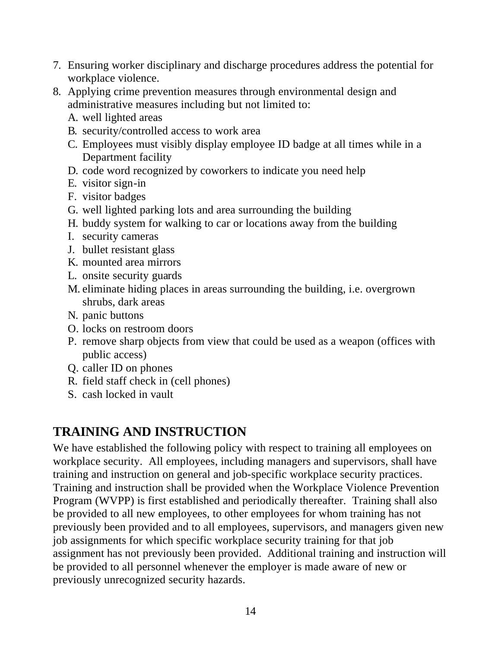- 7. Ensuring worker disciplinary and discharge procedures address the potential for workplace violence.
- 8. Applying crime prevention measures through environmental design and administrative measures including but not limited to:
	- A. well lighted areas
	- B. security/controlled access to work area
	- C. Employees must visibly display employee ID badge at all times while in a Department facility
	- D. code word recognized by coworkers to indicate you need help
	- E. visitor sign-in
	- F. visitor badges
	- G. well lighted parking lots and area surrounding the building
	- H. buddy system for walking to car or locations away from the building
	- I. security cameras
	- J. bullet resistant glass
	- K. mounted area mirrors
	- L. onsite security guards
	- M. eliminate hiding places in areas surrounding the building, i.e. overgrown shrubs, dark areas
	- N. panic buttons
	- O. locks on restroom doors
	- P. remove sharp objects from view that could be used as a weapon (offices with public access)
	- Q. caller ID on phones
	- R. field staff check in (cell phones)
	- S. cash locked in vault

# **TRAINING AND INSTRUCTION**

We have established the following policy with respect to training all employees on workplace security. All employees, including managers and supervisors, shall have training and instruction on general and job-specific workplace security practices. Training and instruction shall be provided when the Workplace Violence Prevention Program (WVPP) is first established and periodically thereafter. Training shall also be provided to all new employees, to other employees for whom training has not previously been provided and to all employees, supervisors, and managers given new job assignments for which specific workplace security training for that job assignment has not previously been provided. Additional training and instruction will be provided to all personnel whenever the employer is made aware of new or previously unrecognized security hazards.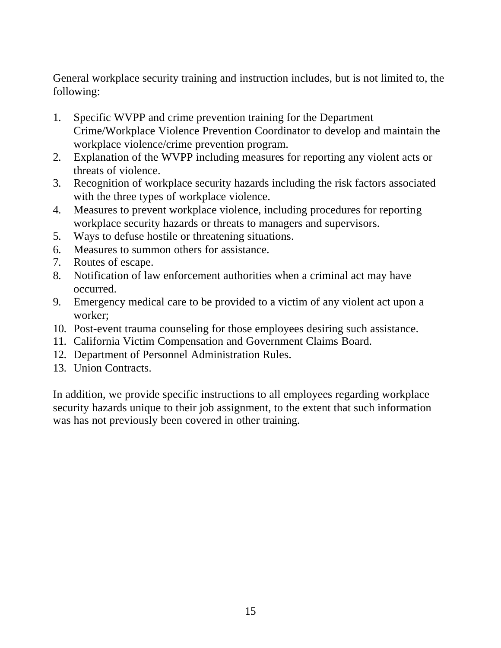General workplace security training and instruction includes, but is not limited to, the following:

- 1. Specific WVPP and crime prevention training for the Department Crime/Workplace Violence Prevention Coordinator to develop and maintain the workplace violence/crime prevention program.
- 2. Explanation of the WVPP including measures for reporting any violent acts or threats of violence.
- 3. Recognition of workplace security hazards including the risk factors associated with the three types of workplace violence.
- 4. Measures to prevent workplace violence, including procedures for reporting workplace security hazards or threats to managers and supervisors.
- 5. Ways to defuse hostile or threatening situations.
- 6. Measures to summon others for assistance.
- 7. Routes of escape.
- 8. Notification of law enforcement authorities when a criminal act may have occurred.
- 9. Emergency medical care to be provided to a victim of any violent act upon a worker;
- 10. Post-event trauma counseling for those employees desiring such assistance.
- 11. California Victim Compensation and Government Claims Board.
- 12. Department of Personnel Administration Rules.
- 13. Union Contracts.

In addition, we provide specific instructions to all employees regarding workplace security hazards unique to their job assignment, to the extent that such information was has not previously been covered in other training.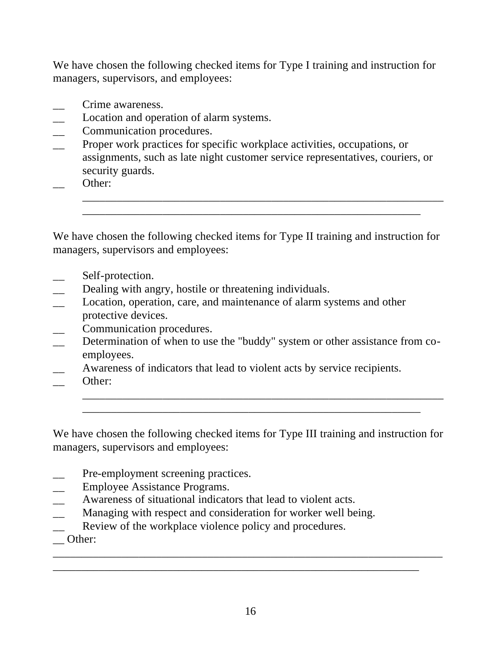We have chosen the following checked items for Type I training and instruction for managers, supervisors, and employees:

- Crime awareness.
- Location and operation of alarm systems.
- Communication procedures.
- Proper work practices for specific workplace activities, occupations, or assignments, such as late night customer service representatives, couriers, or security guards.
- Other:

We have chosen the following checked items for Type II training and instruction for managers, supervisors and employees:

\_\_\_\_\_\_\_\_\_\_\_\_\_\_\_\_\_\_\_\_\_\_\_\_\_\_\_\_\_\_\_\_\_\_\_\_\_\_\_\_\_\_\_\_\_\_\_\_\_\_\_\_\_\_\_\_\_\_\_

\_\_\_\_\_\_\_\_\_\_\_\_\_\_\_\_\_\_\_\_\_\_\_\_\_\_\_\_\_\_\_\_\_\_\_\_\_\_\_\_\_\_\_\_\_\_\_\_\_\_\_\_\_\_\_\_\_\_\_\_\_\_\_

- Self-protection.
- Dealing with angry, hostile or threatening individuals.
- Location, operation, care, and maintenance of alarm systems and other protective devices.
- Communication procedures.
- Determination of when to use the "buddy" system or other assistance from coemployees.
- Awareness of indicators that lead to violent acts by service recipients.
- Other:

We have chosen the following checked items for Type III training and instruction for managers, supervisors and employees:

\_\_\_\_\_\_\_\_\_\_\_\_\_\_\_\_\_\_\_\_\_\_\_\_\_\_\_\_\_\_\_\_\_\_\_\_\_\_\_\_\_\_\_\_\_\_\_\_\_\_\_\_\_\_\_\_\_\_\_

\_\_\_\_\_\_\_\_\_\_\_\_\_\_\_\_\_\_\_\_\_\_\_\_\_\_\_\_\_\_\_\_\_\_\_\_\_\_\_\_\_\_\_\_\_\_\_\_\_\_\_\_\_\_\_\_\_\_\_\_\_\_\_

- Pre-employment screening practices.
- Employee Assistance Programs.
- Awareness of situational indicators that lead to violent acts.
- Managing with respect and consideration for worker well being.
- Review of the workplace violence policy and procedures.
- $\Box$  Other:

\_\_\_\_\_\_\_\_\_\_\_\_\_\_\_\_\_\_\_\_\_\_\_\_\_\_\_\_\_\_\_\_\_\_\_\_\_\_\_\_\_\_\_\_\_\_\_\_\_\_\_\_\_\_\_\_\_\_\_\_\_\_\_\_\_\_\_\_

\_\_\_\_\_\_\_\_\_\_\_\_\_\_\_\_\_\_\_\_\_\_\_\_\_\_\_\_\_\_\_\_\_\_\_\_\_\_\_\_\_\_\_\_\_\_\_\_\_\_\_\_\_\_\_\_\_\_\_\_\_\_\_\_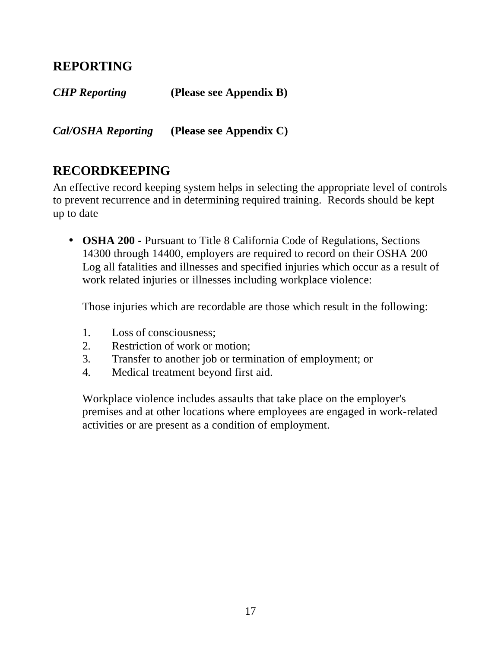# **REPORTING**

*CHP Reporting* **(Please see Appendix B)**

*Cal/OSHA Reporting* **(Please see Appendix C)**

# **RECORDKEEPING**

An effective record keeping system helps in selecting the appropriate level of controls to prevent recurrence and in determining required training. Records should be kept up to date

• **OSHA 200 -** Pursuant to Title 8 California Code of Regulations, Sections 14300 through 14400, employers are required to record on their OSHA 200 Log all fatalities and illnesses and specified injuries which occur as a result of work related injuries or illnesses including workplace violence:

Those injuries which are recordable are those which result in the following:

- 1. Loss of consciousness;
- 2. Restriction of work or motion;
- 3. Transfer to another job or termination of employment; or
- 4. Medical treatment beyond first aid.

Workplace violence includes assaults that take place on the employer's premises and at other locations where employees are engaged in work-related activities or are present as a condition of employment.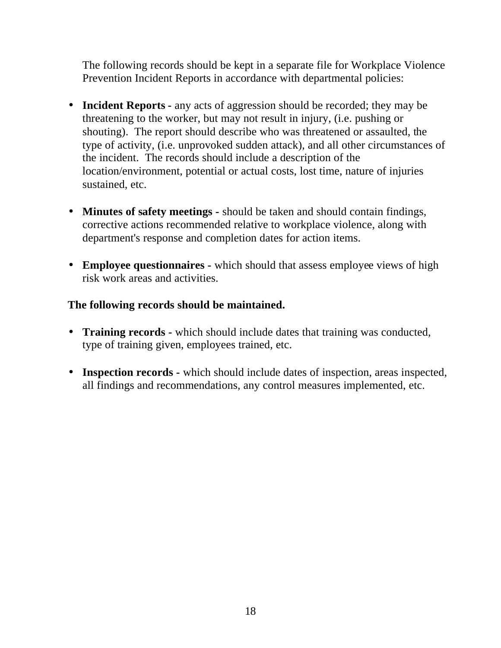The following records should be kept in a separate file for Workplace Violence Prevention Incident Reports in accordance with departmental policies:

- **Incident Reports -** any acts of aggression should be recorded; they may be threatening to the worker, but may not result in injury, (i.e. pushing or shouting). The report should describe who was threatened or assaulted, the type of activity, (i.e. unprovoked sudden attack), and all other circumstances of the incident. The records should include a description of the location/environment, potential or actual costs, lost time, nature of injuries sustained, etc.
- **Minutes of safety meetings -** should be taken and should contain findings, corrective actions recommended relative to workplace violence, along with department's response and completion dates for action items.
- **Employee questionnaires** which should that assess employee views of high risk work areas and activities.

#### **The following records should be maintained.**

- **Training records -** which should include dates that training was conducted, type of training given, employees trained, etc.
- **Inspection records -** which should include dates of inspection, areas inspected, all findings and recommendations, any control measures implemented, etc.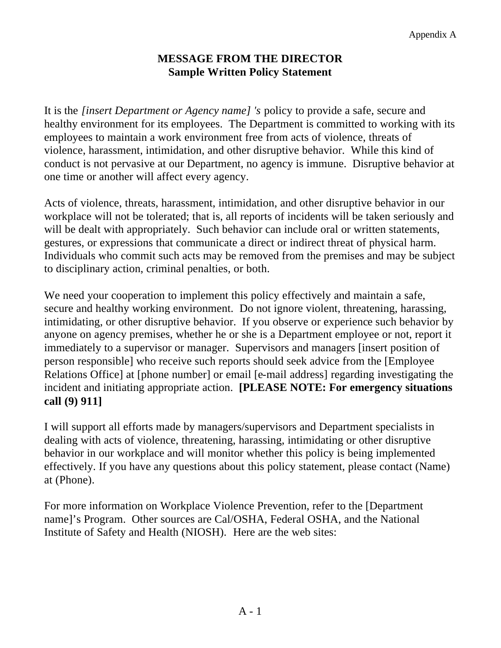#### **MESSAGE FROM THE DIRECTOR Sample Written Policy Statement**

It is the *[insert Department or Agency name] 's* policy to provide a safe, secure and healthy environment for its employees. The Department is committed to working with its employees to maintain a work environment free from acts of violence, threats of violence, harassment, intimidation, and other disruptive behavior. While this kind of conduct is not pervasive at our Department, no agency is immune. Disruptive behavior at one time or another will affect every agency.

Acts of violence, threats, harassment, intimidation, and other disruptive behavior in our workplace will not be tolerated; that is, all reports of incidents will be taken seriously and will be dealt with appropriately. Such behavior can include oral or written statements, gestures, or expressions that communicate a direct or indirect threat of physical harm. Individuals who commit such acts may be removed from the premises and may be subject to disciplinary action, criminal penalties, or both.

We need your cooperation to implement this policy effectively and maintain a safe, secure and healthy working environment. Do not ignore violent, threatening, harassing, intimidating, or other disruptive behavior. If you observe or experience such behavior by anyone on agency premises, whether he or she is a Department employee or not, report it immediately to a supervisor or manager. Supervisors and managers [insert position of person responsible] who receive such reports should seek advice from the [Employee Relations Office] at [phone number] or email [e-mail address] regarding investigating the incident and initiating appropriate action. **[PLEASE NOTE: For emergency situations call (9) 911]**

I will support all efforts made by managers/supervisors and Department specialists in dealing with acts of violence, threatening, harassing, intimidating or other disruptive behavior in our workplace and will monitor whether this policy is being implemented effectively. If you have any questions about this policy statement, please contact (Name) at (Phone).

For more information on Workplace Violence Prevention, refer to the [Department name]'s Program. Other sources are Cal/OSHA, Federal OSHA, and the National Institute of Safety and Health (NIOSH). Here are the web sites: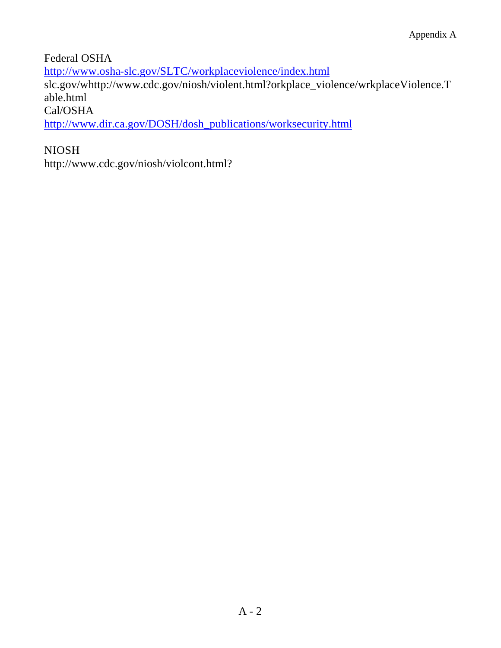Federal OSHA

http://www.osha-slc.gov/SLTC/workplaceviolence/index.html

slc.gov/whttp://www.cdc.gov/niosh/violent.html?orkplace\_violence/wrkplaceViolence.T able.html

Cal/OSHA

http://www.dir.ca.gov/DOSH/dosh\_publications/worksecurity.html

## NIOSH

http://www.cdc.gov/niosh/violcont.html?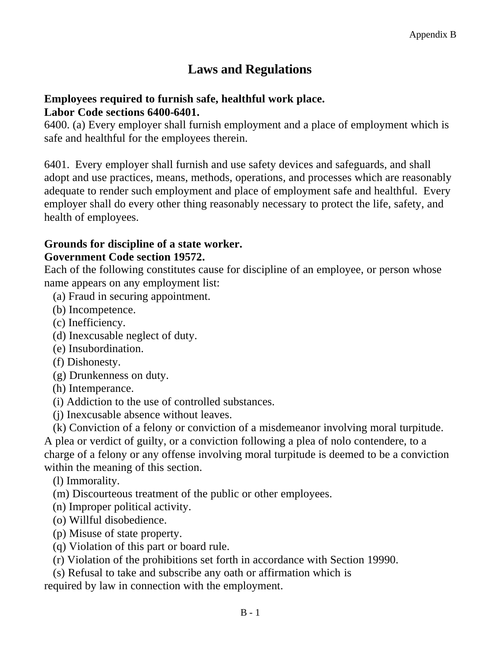# **Laws and Regulations**

#### **Employees required to furnish safe, healthful work place. Labor Code sections 6400-6401.**

6400. (a) Every employer shall furnish employment and a place of employment which is safe and healthful for the employees therein.

6401. Every employer shall furnish and use safety devices and safeguards, and shall adopt and use practices, means, methods, operations, and processes which are reasonably adequate to render such employment and place of employment safe and healthful. Every employer shall do every other thing reasonably necessary to protect the life, safety, and health of employees.

#### **Grounds for discipline of a state worker. Government Code section 19572.**

Each of the following constitutes cause for discipline of an employee, or person whose name appears on any employment list:

- (a) Fraud in securing appointment.
- (b) Incompetence.
- (c) Inefficiency.
- (d) Inexcusable neglect of duty.
- (e) Insubordination.
- (f) Dishonesty.
- (g) Drunkenness on duty.
- (h) Intemperance.
- (i) Addiction to the use of controlled substances.
- (j) Inexcusable absence without leaves.
- (k) Conviction of a felony or conviction of a misdemeanor involving moral turpitude.

A plea or verdict of guilty, or a conviction following a plea of nolo contendere, to a charge of a felony or any offense involving moral turpitude is deemed to be a conviction within the meaning of this section.

(l) Immorality.

- (m) Discourteous treatment of the public or other employees.
- (n) Improper political activity.
- (o) Willful disobedience.
- (p) Misuse of state property.
- (q) Violation of this part or board rule.
- (r) Violation of the prohibitions set forth in accordance with Section 19990.

 (s) Refusal to take and subscribe any oath or affirmation which is required by law in connection with the employment.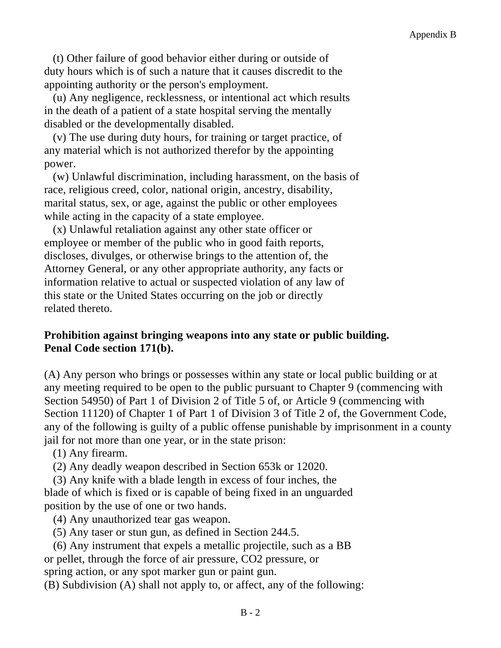(t) Other failure of good behavior either during or outside of duty hours which is of such a nature that it causes discredit to the appointing authority or the person's employment.

 (u) Any negligence, recklessness, or intentional act which results in the death of a patient of a state hospital serving the mentally disabled or the developmentally disabled.

 (v) The use during duty hours, for training or target practice, of any material which is not authorized therefor by the appointing power.

 (w) Unlawful discrimination, including harassment, on the basis of race, religious creed, color, national origin, ancestry, disability, marital status, sex, or age, against the public or other employees while acting in the capacity of a state employee.

 (x) Unlawful retaliation against any other state officer or employee or member of the public who in good faith reports, discloses, divulges, or otherwise brings to the attention of, the Attorney General, or any other appropriate authority, any facts or information relative to actual or suspected violation of any law of this state or the United States occurring on the job or directly related thereto.

## **Prohibition against bringing weapons into any state or public building. Penal Code section 171(b).**

(A) Any person who brings or possesses within any state or local public building or at any meeting required to be open to the public pursuant to Chapter 9 (commencing with Section 54950) of Part 1 of Division 2 of Title 5 of, or Article 9 (commencing with Section 11120) of Chapter 1 of Part 1 of Division 3 of Title 2 of, the Government Code, any of the following is guilty of a public offense punishable by imprisonment in a county jail for not more than one year, or in the state prison:

(1) Any firearm.

(2) Any deadly weapon described in Section 653k or 12020.

 (3) Any knife with a blade length in excess of four inches, the blade of which is fixed or is capable of being fixed in an unguarded position by the use of one or two hands.

(4) Any unauthorized tear gas weapon.

- (5) Any taser or stun gun, as defined in Section 244.5.
- (6) Any instrument that expels a metallic projectile, such as a BB or pellet, through the force of air pressure, CO2 pressure, or spring action, or any spot marker gun or paint gun.
- (B) Subdivision (A) shall not apply to, or affect, any of the following: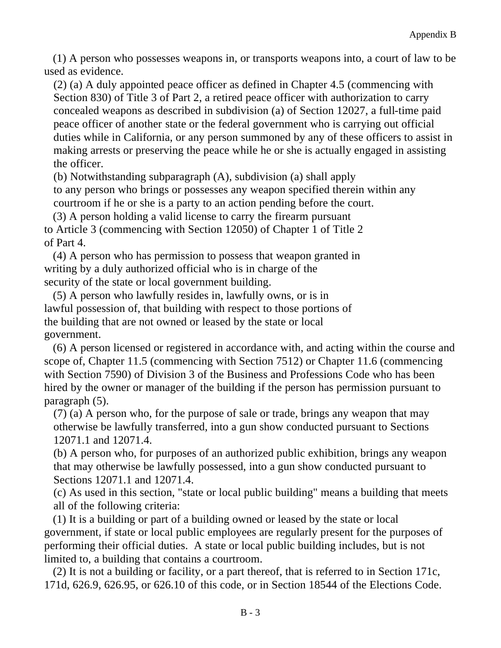(1) A person who possesses weapons in, or transports weapons into, a court of law to be used as evidence.

(2) (a) A duly appointed peace officer as defined in Chapter 4.5 (commencing with Section 830) of Title 3 of Part 2, a retired peace officer with authorization to carry concealed weapons as described in subdivision (a) of Section 12027, a full-time paid peace officer of another state or the federal government who is carrying out official duties while in California, or any person summoned by any of these officers to assist in making arrests or preserving the peace while he or she is actually engaged in assisting the officer.

(b) Notwithstanding subparagraph (A), subdivision (a) shall apply

to any person who brings or possesses any weapon specified therein within any courtroom if he or she is a party to an action pending before the court.

 (3) A person holding a valid license to carry the firearm pursuant to Article 3 (commencing with Section 12050) of Chapter 1 of Title 2 of Part 4.

 (4) A person who has permission to possess that weapon granted in writing by a duly authorized official who is in charge of the security of the state or local government building.

 (5) A person who lawfully resides in, lawfully owns, or is in lawful possession of, that building with respect to those portions of the building that are not owned or leased by the state or local government.

 (6) A person licensed or registered in accordance with, and acting within the course and scope of, Chapter 11.5 (commencing with Section 7512) or Chapter 11.6 (commencing with Section 7590) of Division 3 of the Business and Professions Code who has been hired by the owner or manager of the building if the person has permission pursuant to paragraph (5).

(7) (a) A person who, for the purpose of sale or trade, brings any weapon that may otherwise be lawfully transferred, into a gun show conducted pursuant to Sections 12071.1 and 12071.4.

(b) A person who, for purposes of an authorized public exhibition, brings any weapon that may otherwise be lawfully possessed, into a gun show conducted pursuant to Sections 12071.1 and 12071.4.

(c) As used in this section, "state or local public building" means a building that meets all of the following criteria:

 (1) It is a building or part of a building owned or leased by the state or local government, if state or local public employees are regularly present for the purposes of performing their official duties. A state or local public building includes, but is not limited to, a building that contains a courtroom.

 (2) It is not a building or facility, or a part thereof, that is referred to in Section 171c, 171d, 626.9, 626.95, or 626.10 of this code, or in Section 18544 of the Elections Code.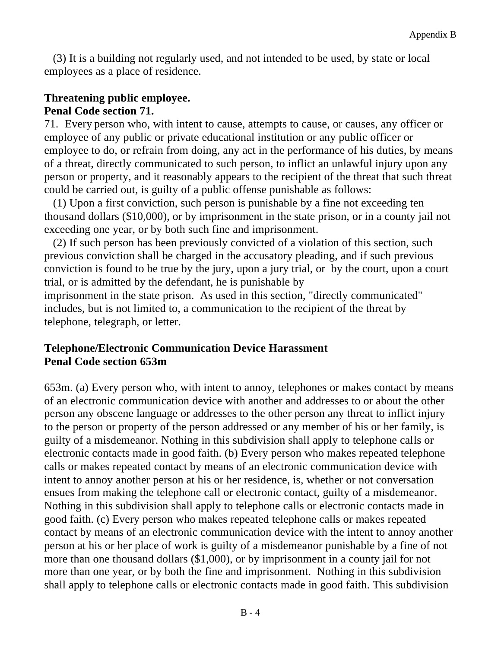(3) It is a building not regularly used, and not intended to be used, by state or local employees as a place of residence.

## **Threatening public employee.**

#### **Penal Code section 71.**

71. Every person who, with intent to cause, attempts to cause, or causes, any officer or employee of any public or private educational institution or any public officer or employee to do, or refrain from doing, any act in the performance of his duties, by means of a threat, directly communicated to such person, to inflict an unlawful injury upon any person or property, and it reasonably appears to the recipient of the threat that such threat could be carried out, is guilty of a public offense punishable as follows:

 (1) Upon a first conviction, such person is punishable by a fine not exceeding ten thousand dollars (\$10,000), or by imprisonment in the state prison, or in a county jail not exceeding one year, or by both such fine and imprisonment.

 (2) If such person has been previously convicted of a violation of this section, such previous conviction shall be charged in the accusatory pleading, and if such previous conviction is found to be true by the jury, upon a jury trial, or by the court, upon a court trial, or is admitted by the defendant, he is punishable by

imprisonment in the state prison. As used in this section, "directly communicated" includes, but is not limited to, a communication to the recipient of the threat by telephone, telegraph, or letter.

#### **Telephone/Electronic Communication Device Harassment Penal Code section 653m**

653m. (a) Every person who, with intent to annoy, telephones or makes contact by means of an electronic communication device with another and addresses to or about the other person any obscene language or addresses to the other person any threat to inflict injury to the person or property of the person addressed or any member of his or her family, is guilty of a misdemeanor. Nothing in this subdivision shall apply to telephone calls or electronic contacts made in good faith. (b) Every person who makes repeated telephone calls or makes repeated contact by means of an electronic communication device with intent to annoy another person at his or her residence, is, whether or not conversation ensues from making the telephone call or electronic contact, guilty of a misdemeanor. Nothing in this subdivision shall apply to telephone calls or electronic contacts made in good faith. (c) Every person who makes repeated telephone calls or makes repeated contact by means of an electronic communication device with the intent to annoy another person at his or her place of work is guilty of a misdemeanor punishable by a fine of not more than one thousand dollars (\$1,000), or by imprisonment in a county jail for not more than one year, or by both the fine and imprisonment. Nothing in this subdivision shall apply to telephone calls or electronic contacts made in good faith. This subdivision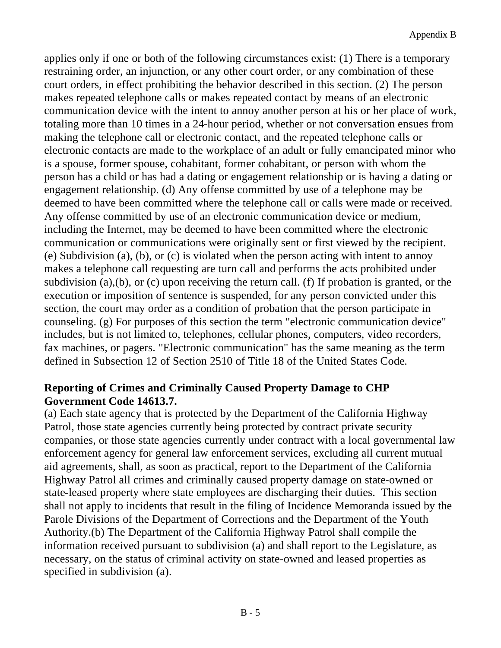applies only if one or both of the following circumstances exist: (1) There is a temporary restraining order, an injunction, or any other court order, or any combination of these court orders, in effect prohibiting the behavior described in this section. (2) The person makes repeated telephone calls or makes repeated contact by means of an electronic communication device with the intent to annoy another person at his or her place of work, totaling more than 10 times in a 24-hour period, whether or not conversation ensues from making the telephone call or electronic contact, and the repeated telephone calls or electronic contacts are made to the workplace of an adult or fully emancipated minor who is a spouse, former spouse, cohabitant, former cohabitant, or person with whom the person has a child or has had a dating or engagement relationship or is having a dating or engagement relationship. (d) Any offense committed by use of a telephone may be deemed to have been committed where the telephone call or calls were made or received. Any offense committed by use of an electronic communication device or medium, including the Internet, may be deemed to have been committed where the electronic communication or communications were originally sent or first viewed by the recipient. (e) Subdivision (a), (b), or (c) is violated when the person acting with intent to annoy makes a telephone call requesting are turn call and performs the acts prohibited under subdivision (a),(b), or (c) upon receiving the return call. (f) If probation is granted, or the execution or imposition of sentence is suspended, for any person convicted under this section, the court may order as a condition of probation that the person participate in counseling. (g) For purposes of this section the term "electronic communication device" includes, but is not limited to, telephones, cellular phones, computers, video recorders, fax machines, or pagers. "Electronic communication" has the same meaning as the term defined in Subsection 12 of Section 2510 of Title 18 of the United States Code.

#### **Reporting of Crimes and Criminally Caused Property Damage to CHP Government Code 14613.7.**

(a) Each state agency that is protected by the Department of the California Highway Patrol, those state agencies currently being protected by contract private security companies, or those state agencies currently under contract with a local governmental law enforcement agency for general law enforcement services, excluding all current mutual aid agreements, shall, as soon as practical, report to the Department of the California Highway Patrol all crimes and criminally caused property damage on state-owned or state-leased property where state employees are discharging their duties. This section shall not apply to incidents that result in the filing of Incidence Memoranda issued by the Parole Divisions of the Department of Corrections and the Department of the Youth Authority.(b) The Department of the California Highway Patrol shall compile the information received pursuant to subdivision (a) and shall report to the Legislature, as necessary, on the status of criminal activity on state-owned and leased properties as specified in subdivision (a).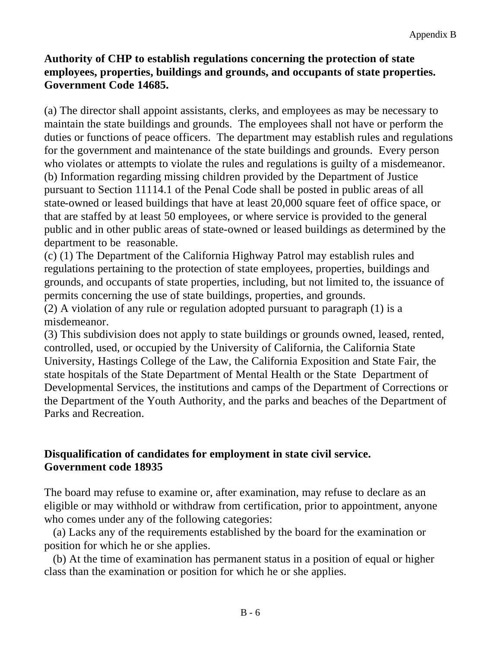## **Authority of CHP to establish regulations concerning the protection of state employees, properties, buildings and grounds, and occupants of state properties. Government Code 14685.**

(a) The director shall appoint assistants, clerks, and employees as may be necessary to maintain the state buildings and grounds. The employees shall not have or perform the duties or functions of peace officers. The department may establish rules and regulations for the government and maintenance of the state buildings and grounds. Every person who violates or attempts to violate the rules and regulations is guilty of a misdemeanor. (b) Information regarding missing children provided by the Department of Justice pursuant to Section 11114.1 of the Penal Code shall be posted in public areas of all state-owned or leased buildings that have at least 20,000 square feet of office space, or that are staffed by at least 50 employees, or where service is provided to the general public and in other public areas of state-owned or leased buildings as determined by the department to be reasonable.

(c) (1) The Department of the California Highway Patrol may establish rules and regulations pertaining to the protection of state employees, properties, buildings and grounds, and occupants of state properties, including, but not limited to, the issuance of permits concerning the use of state buildings, properties, and grounds.

(2) A violation of any rule or regulation adopted pursuant to paragraph (1) is a misdemeanor.

(3) This subdivision does not apply to state buildings or grounds owned, leased, rented, controlled, used, or occupied by the University of California, the California State University, Hastings College of the Law, the California Exposition and State Fair, the state hospitals of the State Department of Mental Health or the State Department of Developmental Services, the institutions and camps of the Department of Corrections or the Department of the Youth Authority, and the parks and beaches of the Department of Parks and Recreation.

## **Disqualification of candidates for employment in state civil service. Government code 18935**

The board may refuse to examine or, after examination, may refuse to declare as an eligible or may withhold or withdraw from certification, prior to appointment, anyone who comes under any of the following categories:

 (a) Lacks any of the requirements established by the board for the examination or position for which he or she applies.

 (b) At the time of examination has permanent status in a position of equal or higher class than the examination or position for which he or she applies.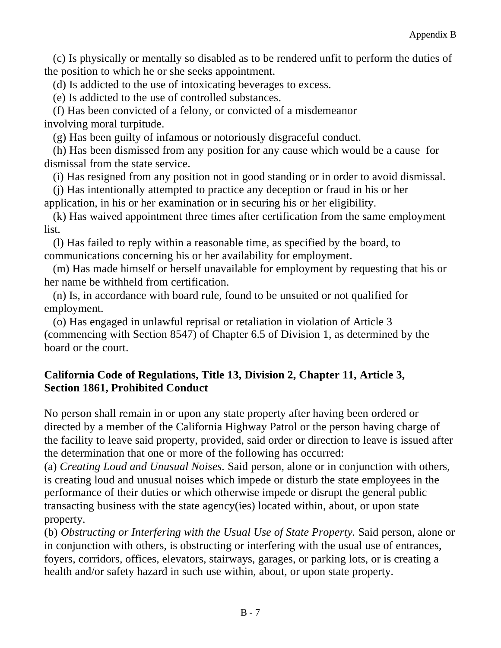(c) Is physically or mentally so disabled as to be rendered unfit to perform the duties of the position to which he or she seeks appointment.

(d) Is addicted to the use of intoxicating beverages to excess.

(e) Is addicted to the use of controlled substances.

 (f) Has been convicted of a felony, or convicted of a misdemeanor involving moral turpitude.

(g) Has been guilty of infamous or notoriously disgraceful conduct.

 (h) Has been dismissed from any position for any cause which would be a cause for dismissal from the state service.

(i) Has resigned from any position not in good standing or in order to avoid dismissal.

 (j) Has intentionally attempted to practice any deception or fraud in his or her application, in his or her examination or in securing his or her eligibility.

 (k) Has waived appointment three times after certification from the same employment list.

 (l) Has failed to reply within a reasonable time, as specified by the board, to communications concerning his or her availability for employment.

 (m) Has made himself or herself unavailable for employment by requesting that his or her name be withheld from certification.

 (n) Is, in accordance with board rule, found to be unsuited or not qualified for employment.

 (o) Has engaged in unlawful reprisal or retaliation in violation of Article 3 (commencing with Section 8547) of Chapter 6.5 of Division 1, as determined by the board or the court.

## **California Code of Regulations, Title 13, Division 2, Chapter 11, Article 3, Section 1861, Prohibited Conduct**

No person shall remain in or upon any state property after having been ordered or directed by a member of the California Highway Patrol or the person having charge of the facility to leave said property, provided, said order or direction to leave is issued after the determination that one or more of the following has occurred:

(a) *Creating Loud and Unusual Noises.* Said person, alone or in conjunction with others, is creating loud and unusual noises which impede or disturb the state employees in the performance of their duties or which otherwise impede or disrupt the general public transacting business with the state agency(ies) located within, about, or upon state property.

(b) *Obstructing or Interfering with the Usual Use of State Property.* Said person, alone or in conjunction with others, is obstructing or interfering with the usual use of entrances, foyers, corridors, offices, elevators, stairways, garages, or parking lots, or is creating a health and/or safety hazard in such use within, about, or upon state property.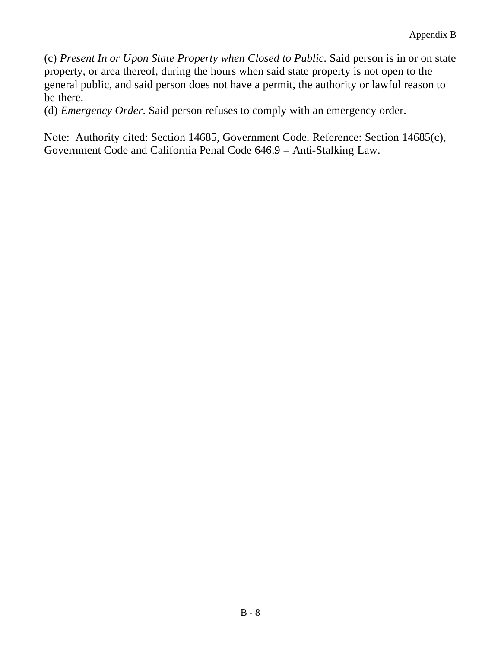(c) *Present In or Upon State Property when Closed to Public.* Said person is in or on state property, or area thereof, during the hours when said state property is not open to the general public, and said person does not have a permit, the authority or lawful reason to be there.

(d) *Emergency Order*. Said person refuses to comply with an emergency order.

Note: Authority cited: Section 14685, Government Code. Reference: Section 14685(c), Government Code and California Penal Code 646.9 – Anti-Stalking Law.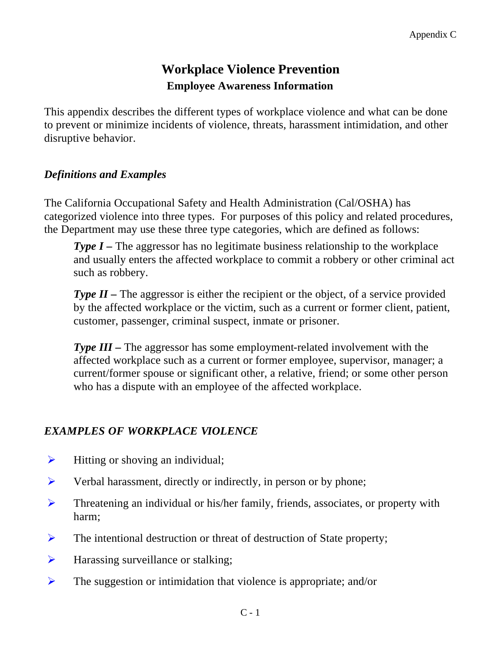# **Workplace Violence Prevention Employee Awareness Information**

This appendix describes the different types of workplace violence and what can be done to prevent or minimize incidents of violence, threats, harassment intimidation, and other disruptive behavior.

## *Definitions and Examples*

The California Occupational Safety and Health Administration (Cal/OSHA) has categorized violence into three types. For purposes of this policy and related procedures, the Department may use these three type categories, which are defined as follows:

*Type I* – The aggressor has no legitimate business relationship to the workplace and usually enters the affected workplace to commit a robbery or other criminal act such as robbery.

*Type II* – The aggressor is either the recipient or the object, of a service provided by the affected workplace or the victim, such as a current or former client, patient, customer, passenger, criminal suspect, inmate or prisoner.

*Type III* – The aggressor has some employment-related involvement with the affected workplace such as a current or former employee, supervisor, manager; a current/former spouse or significant other, a relative, friend; or some other person who has a dispute with an employee of the affected workplace.

## *EXAMPLES OF WORKPLACE VIOLENCE*

- $\triangleright$  Hitting or shoving an individual;
- $\triangleright$  Verbal harassment, directly or indirectly, in person or by phone;
- $\triangleright$  Threatening an individual or his/her family, friends, associates, or property with harm;
- $\triangleright$  The intentional destruction or threat of destruction of State property;
- $\triangleright$  Harassing surveillance or stalking;
- $\triangleright$  The suggestion or intimidation that violence is appropriate; and/or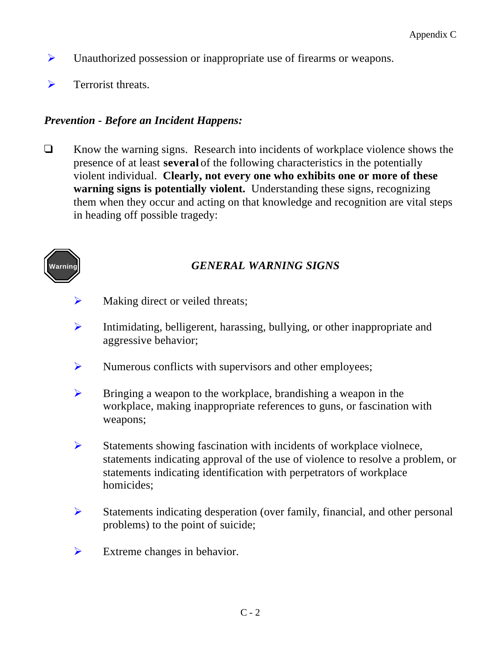- $\triangleright$  Unauthorized possession or inappropriate use of firearms or weapons.
- $\triangleright$  Terrorist threats.

## *Prevention - Before an Incident Happens:*

 $\Box$  Know the warning signs. Research into incidents of workplace violence shows the presence of at least **several** of the following characteristics in the potentially violent individual. **Clearly, not every one who exhibits one or more of these warning signs is potentially violent.** Understanding these signs, recognizing them when they occur and acting on that knowledge and recognition are vital steps in heading off possible tragedy:



## **Warning** *GENERAL WARNING SIGNS*

- $\triangleright$  Making direct or veiled threats;
- $\blacktriangleright$  Intimidating, belligerent, harassing, bullying, or other inappropriate and aggressive behavior;
- $\triangleright$  Numerous conflicts with supervisors and other employees;
- $\triangleright$  Bringing a weapon to the workplace, brandishing a weapon in the workplace, making inappropriate references to guns, or fascination with weapons;
- $\triangleright$  Statements showing fascination with incidents of workplace violnece, statements indicating approval of the use of violence to resolve a problem, or statements indicating identification with perpetrators of workplace homicides;
- $\triangleright$  Statements indicating desperation (over family, financial, and other personal problems) to the point of suicide;
- $\triangleright$  Extreme changes in behavior.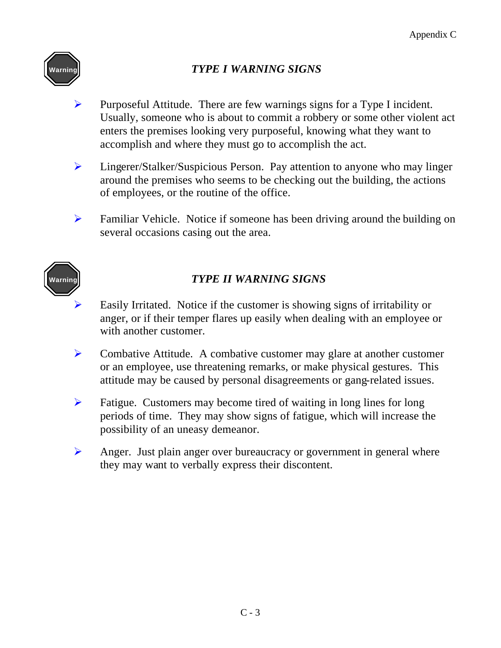

# **Warning** *TYPE I WARNING SIGNS*

- $\triangleright$  Purposeful Attitude. There are few warnings signs for a Type I incident. Usually, someone who is about to commit a robbery or some other violent act enters the premises looking very purposeful, knowing what they want to accomplish and where they must go to accomplish the act.
- $\triangleright$  Lingerer/Stalker/Suspicious Person. Pay attention to anyone who may linger around the premises who seems to be checking out the building, the actions of employees, or the routine of the office.
- $\triangleright$  Familiar Vehicle. Notice if someone has been driving around the building on several occasions casing out the area.



## **Warning** *TYPE II WARNING SIGNS*

- Easily Irritated. Notice if the customer is showing signs of irritability or anger, or if their temper flares up easily when dealing with an employee or with another customer.
- $\triangleright$  Combative Attitude. A combative customer may glare at another customer or an employee, use threatening remarks, or make physical gestures. This attitude may be caused by personal disagreements or gang-related issues.
- $\triangleright$  Fatigue. Customers may become tired of waiting in long lines for long periods of time. They may show signs of fatigue, which will increase the possibility of an uneasy demeanor.
- $\triangleright$  Anger. Just plain anger over bureaucracy or government in general where they may want to verbally express their discontent.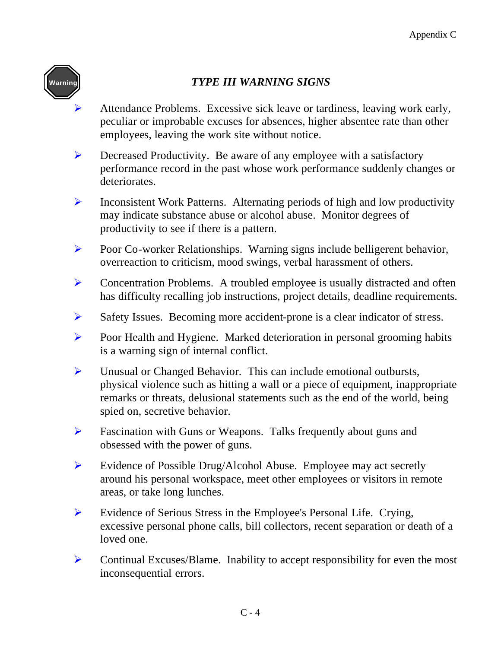

## **Warning** *TYPE III WARNING SIGNS*

- Attendance Problems. Excessive sick leave or tardiness, leaving work early, peculiar or improbable excuses for absences, higher absentee rate than other employees, leaving the work site without notice.
- $\triangleright$  Decreased Productivity. Be aware of any employee with a satisfactory performance record in the past whose work performance suddenly changes or deteriorates.
- $\triangleright$  Inconsistent Work Patterns. Alternating periods of high and low productivity may indicate substance abuse or alcohol abuse. Monitor degrees of productivity to see if there is a pattern.
- $\triangleright$  Poor Co-worker Relationships. Warning signs include belligerent behavior, overreaction to criticism, mood swings, verbal harassment of others.
- $\triangleright$  Concentration Problems. A troubled employee is usually distracted and often has difficulty recalling job instructions, project details, deadline requirements.
- $\triangleright$  Safety Issues. Becoming more accident-prone is a clear indicator of stress.
- $\triangleright$  Poor Health and Hygiene. Marked deterioration in personal grooming habits is a warning sign of internal conflict.
- $\triangleright$  Unusual or Changed Behavior. This can include emotional outbursts, physical violence such as hitting a wall or a piece of equipment, inappropriate remarks or threats, delusional statements such as the end of the world, being spied on, secretive behavior.
- $\triangleright$  Fascination with Guns or Weapons. Talks frequently about guns and obsessed with the power of guns.
- $\triangleright$  Evidence of Possible Drug/Alcohol Abuse. Employee may act secretly around his personal workspace, meet other employees or visitors in remote areas, or take long lunches.
- $\triangleright$  Evidence of Serious Stress in the Employee's Personal Life. Crying, excessive personal phone calls, bill collectors, recent separation or death of a loved one.
- $\triangleright$  Continual Excuses/Blame. Inability to accept responsibility for even the most inconsequential errors.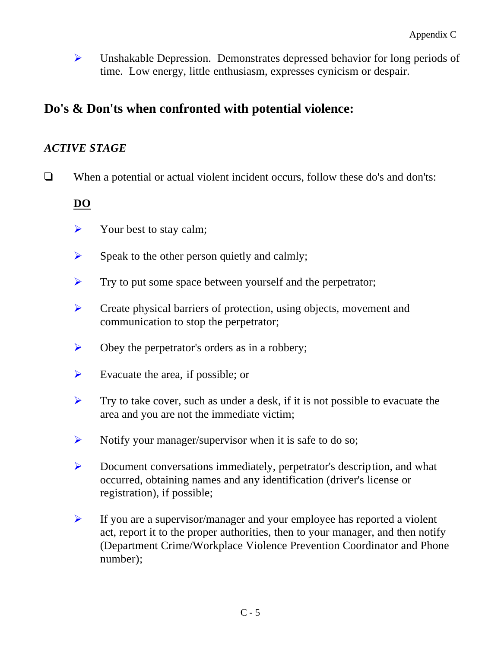$\triangleright$  Unshakable Depression. Demonstrates depressed behavior for long periods of time. Low energy, little enthusiasm, expresses cynicism or despair.

# **Do's & Don'ts when confronted with potential violence:**

## *ACTIVE STAGE*

 $\Box$  When a potential or actual violent incident occurs, follow these do's and don'ts:

## **DO**

- $\triangleright$  Your best to stay calm;
- $\triangleright$  Speak to the other person quietly and calmly;
- $\triangleright$  Try to put some space between yourself and the perpetrator;
- $\triangleright$  Create physical barriers of protection, using objects, movement and communication to stop the perpetrator;
- $\triangleright$  Obey the perpetrator's orders as in a robbery;
- $\triangleright$  Evacuate the area, if possible; or
- $\triangleright$  Try to take cover, such as under a desk, if it is not possible to evacuate the area and you are not the immediate victim;
- $\triangleright$  Notify your manager/supervisor when it is safe to do so;
- $\triangleright$  Document conversations immediately, perpetrator's description, and what occurred, obtaining names and any identification (driver's license or registration), if possible;
- $\triangleright$  If you are a supervisor/manager and your employee has reported a violent act, report it to the proper authorities, then to your manager, and then notify (Department Crime/Workplace Violence Prevention Coordinator and Phone number);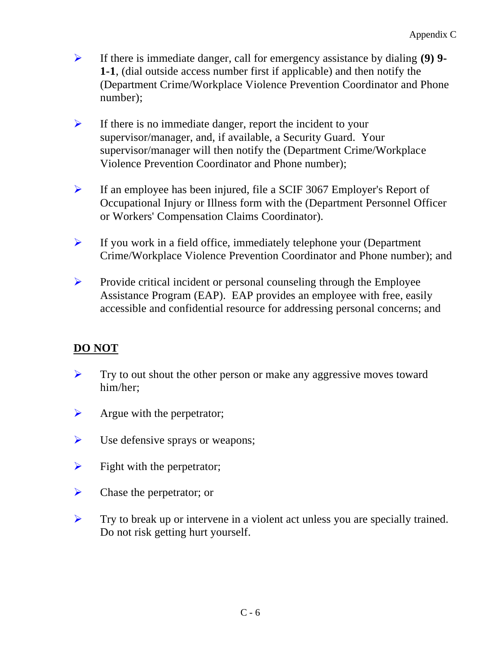- ÿ If there is immediate danger, call for emergency assistance by dialing **(9) 9- 1-1**, (dial outside access number first if applicable) and then notify the (Department Crime/Workplace Violence Prevention Coordinator and Phone number);
- $\triangleright$  If there is no immediate danger, report the incident to your supervisor/manager, and, if available, a Security Guard. Your supervisor/manager will then notify the (Department Crime/Workplace Violence Prevention Coordinator and Phone number);
- $\blacktriangleright$  If an employee has been injured, file a SCIF 3067 Employer's Report of Occupational Injury or Illness form with the (Department Personnel Officer or Workers' Compensation Claims Coordinator).
- $\triangleright$  If you work in a field office, immediately telephone your (Department Crime/Workplace Violence Prevention Coordinator and Phone number); and
- $\triangleright$  Provide critical incident or personal counseling through the Employee Assistance Program (EAP). EAP provides an employee with free, easily accessible and confidential resource for addressing personal concerns; and

## **DO NOT**

- $\triangleright$  Try to out shout the other person or make any aggressive moves toward him/her;
- $\triangleright$  Argue with the perpetrator;
- $\triangleright$  Use defensive sprays or weapons;
- $\triangleright$  Fight with the perpetrator;
- $\triangleright$  Chase the perpetrator; or
- $\triangleright$  Try to break up or intervene in a violent act unless you are specially trained. Do not risk getting hurt yourself.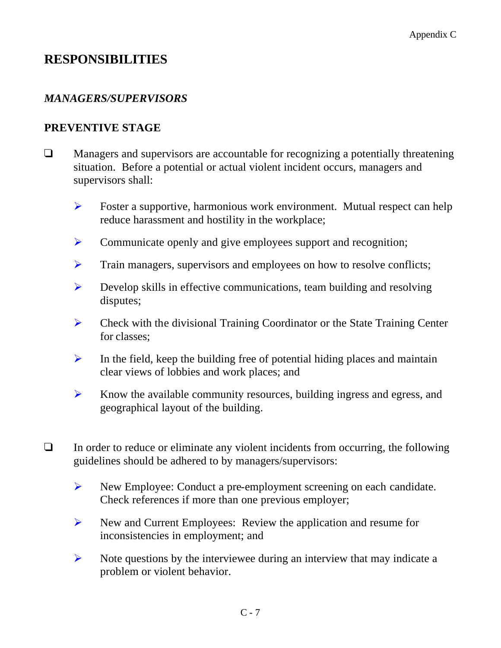# **RESPONSIBILITIES**

## *MANAGERS/SUPERVISORS*

### **PREVENTIVE STAGE**

- $\Box$  Managers and supervisors are accountable for recognizing a potentially threatening situation. Before a potential or actual violent incident occurs, managers and supervisors shall:
	- $\triangleright$  Foster a supportive, harmonious work environment. Mutual respect can help reduce harassment and hostility in the workplace;
	- $\triangleright$  Communicate openly and give employees support and recognition;
	- $\triangleright$  Train managers, supervisors and employees on how to resolve conflicts;
	- $\triangleright$  Develop skills in effective communications, team building and resolving disputes;
	- $\triangleright$  Check with the divisional Training Coordinator or the State Training Center for classes;
	- $\triangleright$  In the field, keep the building free of potential hiding places and maintain clear views of lobbies and work places; and
	- $\triangleright$  Know the available community resources, building ingress and egress, and geographical layout of the building.
- $\Box$  In order to reduce or eliminate any violent incidents from occurring, the following guidelines should be adhered to by managers/supervisors:
	- $\triangleright$  New Employee: Conduct a pre-employment screening on each candidate. Check references if more than one previous employer;
	- $\triangleright$  New and Current Employees: Review the application and resume for inconsistencies in employment; and
	- $\triangleright$  Note questions by the interviewee during an interview that may indicate a problem or violent behavior.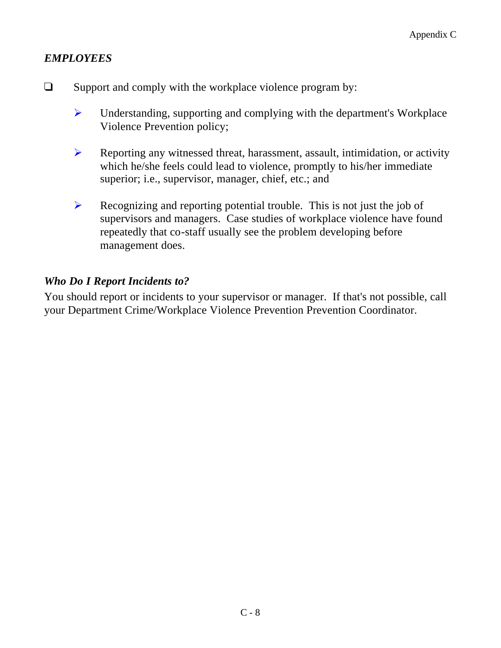## *EMPLOYEES*

- $\Box$  Support and comply with the workplace violence program by:
	- $\triangleright$  Understanding, supporting and complying with the department's Workplace Violence Prevention policy;
	- $\triangleright$  Reporting any witnessed threat, harassment, assault, intimidation, or activity which he/she feels could lead to violence, promptly to his/her immediate superior; i.e., supervisor, manager, chief, etc.; and
	- $\triangleright$  Recognizing and reporting potential trouble. This is not just the job of supervisors and managers. Case studies of workplace violence have found repeatedly that co-staff usually see the problem developing before management does.

## *Who Do I Report Incidents to?*

You should report or incidents to your supervisor or manager. If that's not possible, call your Department Crime/Workplace Violence Prevention Prevention Coordinator.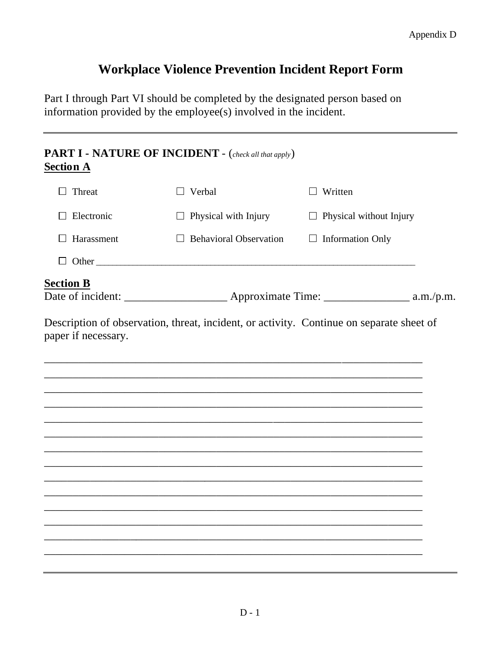# **Workplace Violence Prevention Incident Report Form**

Part I through Part VI should be completed by the designated person based on information provided by the employee(s) involved in the incident.

## **PART I - NATURE OF INCIDENT** - (*check all that apply*) **Section A**

| Threat<br>$\mathsf{I}$     | $\Box$ Verbal                 | $\Box$ Written                                                                           |  |
|----------------------------|-------------------------------|------------------------------------------------------------------------------------------|--|
| Electronic<br>$\mathsf{L}$ | $\Box$ Physical with Injury   | $\Box$ Physical without Injury                                                           |  |
| Harassment<br>l 1          | $\Box$ Behavioral Observation | $\Box$ Information Only                                                                  |  |
|                            | $\Box$ Other                  |                                                                                          |  |
| <b>Section B</b>           |                               |                                                                                          |  |
| paper if necessary.        |                               | Description of observation, threat, incident, or activity. Continue on separate sheet of |  |
|                            |                               |                                                                                          |  |
|                            |                               |                                                                                          |  |
|                            |                               |                                                                                          |  |
|                            |                               |                                                                                          |  |
|                            |                               |                                                                                          |  |
|                            |                               |                                                                                          |  |
|                            |                               |                                                                                          |  |
|                            |                               |                                                                                          |  |
|                            |                               |                                                                                          |  |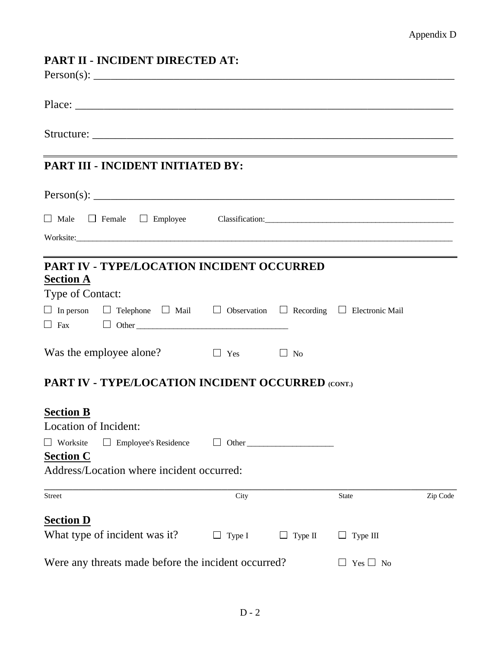### **PART II - INCIDENT DIRECTED AT:**

| PART III - INCIDENT INITIATED BY:                                                                                                                                                                                              |               |                |                 |          |  |  |  |  |
|--------------------------------------------------------------------------------------------------------------------------------------------------------------------------------------------------------------------------------|---------------|----------------|-----------------|----------|--|--|--|--|
|                                                                                                                                                                                                                                |               |                |                 |          |  |  |  |  |
|                                                                                                                                                                                                                                |               |                |                 |          |  |  |  |  |
| Worksite: when the contract of the contract of the contract of the contract of the contract of the contract of the contract of the contract of the contract of the contract of the contract of the contract of the contract of |               |                |                 |          |  |  |  |  |
| <b>PART IV - TYPE/LOCATION INCIDENT OCCURRED</b><br><b>Section A</b><br>Type of Contact:                                                                                                                                       |               |                |                 |          |  |  |  |  |
| $\Box$ In person $\Box$ Telephone $\Box$ Mail $\Box$ Observation $\Box$ Recording $\Box$ Electronic Mail<br>$\Box$ Fax $\Box$ Other                                                                                            |               |                |                 |          |  |  |  |  |
| Was the employee alone? $\Box$ Yes $\Box$ No                                                                                                                                                                                   |               |                |                 |          |  |  |  |  |
| PART IV - TYPE/LOCATION INCIDENT OCCURRED (CONT.)                                                                                                                                                                              |               |                |                 |          |  |  |  |  |
| <b>Section B</b><br>Location of Incident:                                                                                                                                                                                      |               |                |                 |          |  |  |  |  |
| $\Box$ Employee's Residence<br>$\Box$ Worksite<br><b>Section C</b>                                                                                                                                                             | $\Box$ Other  |                |                 |          |  |  |  |  |
| Address/Location where incident occurred:                                                                                                                                                                                      |               |                |                 |          |  |  |  |  |
| Street                                                                                                                                                                                                                         | City          |                | <b>State</b>    | Zip Code |  |  |  |  |
| <b>Section D</b>                                                                                                                                                                                                               |               |                |                 |          |  |  |  |  |
| What type of incident was it?                                                                                                                                                                                                  | $\Box$ Type I | $\Box$ Type II | $\Box$ Type III |          |  |  |  |  |
| Were any threats made before the incident occurred?<br>$\Box$ Yes $\Box$ No                                                                                                                                                    |               |                |                 |          |  |  |  |  |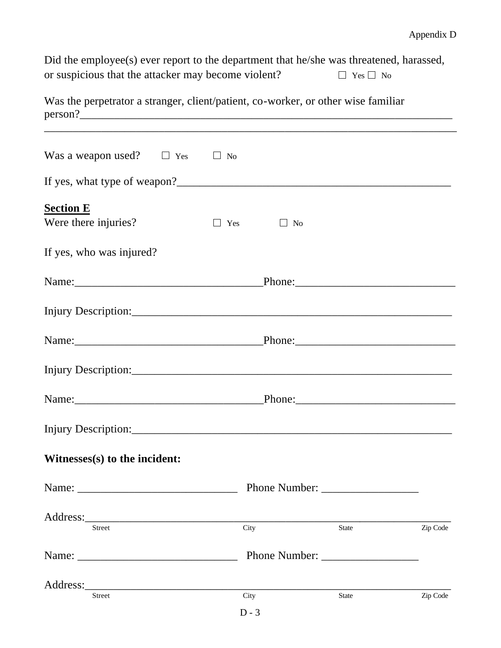Did the employee(s) ever report to the department that he/she was threatened, harassed, or suspicious that the attacker may become violent?  $\Box$  Yes  $\Box$  No

Was the perpetrator a stranger, client/patient, co-worker, or other wise familiar  $person?$ 

| Was a weapon used? $\square$ Yes $\square$ No |                         |               |          |  |  |
|-----------------------------------------------|-------------------------|---------------|----------|--|--|
|                                               |                         |               |          |  |  |
| <b>Section E</b>                              |                         |               |          |  |  |
| Were there injuries?                          | $\Box$ Yes<br>$\Box$ No |               |          |  |  |
| If yes, who was injured?                      |                         |               |          |  |  |
|                                               |                         |               |          |  |  |
|                                               |                         |               |          |  |  |
|                                               |                         |               |          |  |  |
|                                               |                         |               |          |  |  |
|                                               |                         |               |          |  |  |
|                                               |                         |               |          |  |  |
| Witnesses(s) to the incident:                 |                         |               |          |  |  |
| Name:                                         | Phone Number:           |               |          |  |  |
| Street                                        | City                    | State         | Zip Code |  |  |
|                                               |                         |               |          |  |  |
|                                               |                         | Phone Number: |          |  |  |
|                                               |                         |               |          |  |  |
| Street                                        | City                    | <b>State</b>  | Zip Code |  |  |
|                                               | $D-3$                   |               |          |  |  |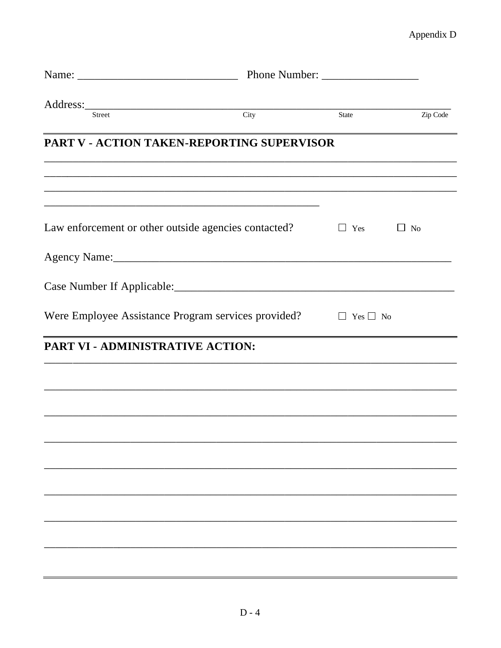### Appendix D

| Zip Code |
|----------|
|          |
|          |
|          |
|          |
|          |
|          |
|          |
|          |
|          |
|          |
|          |
|          |
|          |
|          |
|          |
|          |
|          |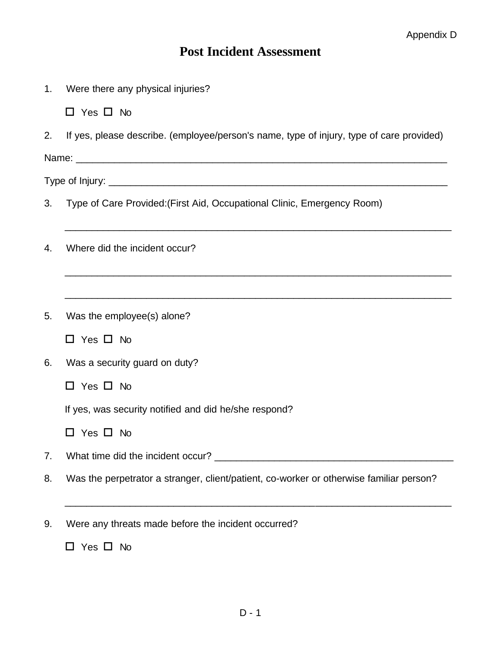# **Post Incident Assessment**

| 1. | Were there any physical injuries?                                                        |
|----|------------------------------------------------------------------------------------------|
|    | $\Box$ Yes $\Box$ No                                                                     |
| 2. | If yes, please describe. (employee/person's name, type of injury, type of care provided) |
|    | Name: Name:                                                                              |
|    |                                                                                          |
| 3. | Type of Care Provided: (First Aid, Occupational Clinic, Emergency Room)                  |
| 4. | Where did the incident occur?                                                            |
|    |                                                                                          |
| 5. | Was the employee(s) alone?                                                               |
|    | $\Box$ Yes $\Box$ No                                                                     |
| 6. | Was a security guard on duty?                                                            |
|    | $\Box$ Yes $\Box$ No                                                                     |
|    | If yes, was security notified and did he/she respond?                                    |
|    | Yes $\Box$<br>No.                                                                        |
| 7. |                                                                                          |
| 8. | Was the perpetrator a stranger, client/patient, co-worker or otherwise familiar person?  |
| 9. | Were any threats made before the incident occurred?                                      |
|    | $\Box$ Yes $\Box$ No                                                                     |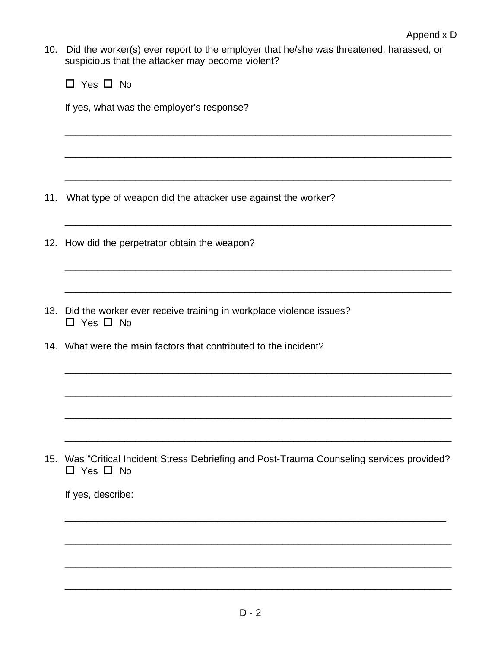10. Did the worker(s) ever report to the employer that he/she was threatened, harassed, or suspicious that the attacker may become violent?

| $\Box$ Yes $\Box$ No                                                                                               |
|--------------------------------------------------------------------------------------------------------------------|
| If yes, what was the employer's response?                                                                          |
|                                                                                                                    |
| 11. What type of weapon did the attacker use against the worker?                                                   |
| 12. How did the perpetrator obtain the weapon?                                                                     |
| 13. Did the worker ever receive training in workplace violence issues?<br>$\Box$ Yes $\Box$ No                     |
| 14. What were the main factors that contributed to the incident?                                                   |
|                                                                                                                    |
|                                                                                                                    |
| 15. Was "Critical Incident Stress Debriefing and Post-Trauma Counseling services provided?<br>$\Box$ Yes $\Box$ No |
| If yes, describe:                                                                                                  |
|                                                                                                                    |

\_\_\_\_\_\_\_\_\_\_\_\_\_\_\_\_\_\_\_\_\_\_\_\_\_\_\_\_\_\_\_\_\_\_\_\_\_\_\_\_\_\_\_\_\_\_\_\_\_\_\_\_\_\_\_\_\_\_\_\_\_\_\_\_\_\_\_\_\_\_\_

\_\_\_\_\_\_\_\_\_\_\_\_\_\_\_\_\_\_\_\_\_\_\_\_\_\_\_\_\_\_\_\_\_\_\_\_\_\_\_\_\_\_\_\_\_\_\_\_\_\_\_\_\_\_\_\_\_\_\_\_\_\_\_\_\_\_\_\_\_\_\_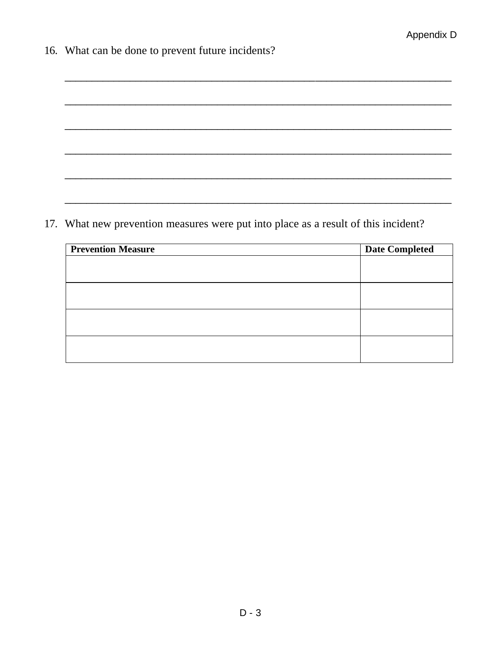16. What can be done to prevent future incidents?

17. What new prevention measures were put into place as a result of this incident?

| <b>Prevention Measure</b> | <b>Date Completed</b> |
|---------------------------|-----------------------|
|                           |                       |
|                           |                       |
|                           |                       |
|                           |                       |
|                           |                       |
|                           |                       |
|                           |                       |
|                           |                       |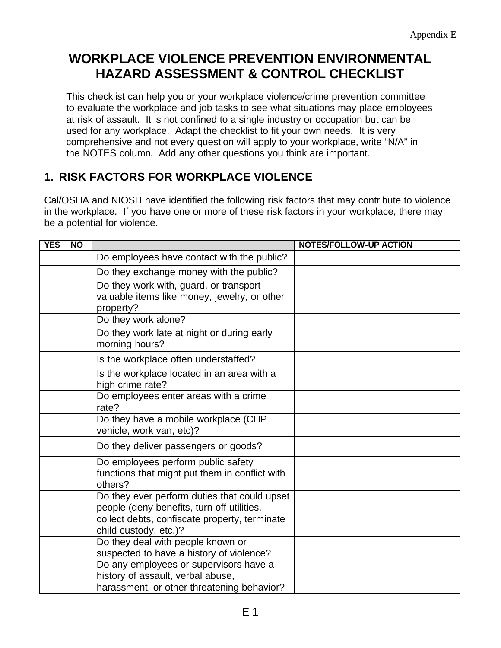# **WORKPLACE VIOLENCE PREVENTION ENVIRONMENTAL HAZARD ASSESSMENT & CONTROL CHECKLIST**

This checklist can help you or your workplace violence/crime prevention committee to evaluate the workplace and job tasks to see what situations may place employees at risk of assault. It is not confined to a single industry or occupation but can be used for any workplace. Adapt the checklist to fit your own needs. It is very comprehensive and not every question will apply to your workplace, write "N/A" in the NOTES column. Add any other questions you think are important.

## **1. RISK FACTORS FOR WORKPLACE VIOLENCE**

Cal/OSHA and NIOSH have identified the following risk factors that may contribute to violence in the workplace. If you have one or more of these risk factors in your workplace, there may be a potential for violence.

| <b>YES</b> | <b>NO</b> |                                                                                                                                                                      | <b>NOTES/FOLLOW-UP ACTION</b> |
|------------|-----------|----------------------------------------------------------------------------------------------------------------------------------------------------------------------|-------------------------------|
|            |           | Do employees have contact with the public?                                                                                                                           |                               |
|            |           | Do they exchange money with the public?                                                                                                                              |                               |
|            |           | Do they work with, guard, or transport<br>valuable items like money, jewelry, or other<br>property?                                                                  |                               |
|            |           | Do they work alone?                                                                                                                                                  |                               |
|            |           | Do they work late at night or during early<br>morning hours?                                                                                                         |                               |
|            |           | Is the workplace often understaffed?                                                                                                                                 |                               |
|            |           | Is the workplace located in an area with a<br>high crime rate?                                                                                                       |                               |
|            |           | Do employees enter areas with a crime<br>rate?                                                                                                                       |                               |
|            |           | Do they have a mobile workplace (CHP<br>vehicle, work van, etc)?                                                                                                     |                               |
|            |           | Do they deliver passengers or goods?                                                                                                                                 |                               |
|            |           | Do employees perform public safety<br>functions that might put them in conflict with<br>others?                                                                      |                               |
|            |           | Do they ever perform duties that could upset<br>people (deny benefits, turn off utilities,<br>collect debts, confiscate property, terminate<br>child custody, etc.)? |                               |
|            |           | Do they deal with people known or<br>suspected to have a history of violence?                                                                                        |                               |
|            |           | Do any employees or supervisors have a<br>history of assault, verbal abuse,<br>harassment, or other threatening behavior?                                            |                               |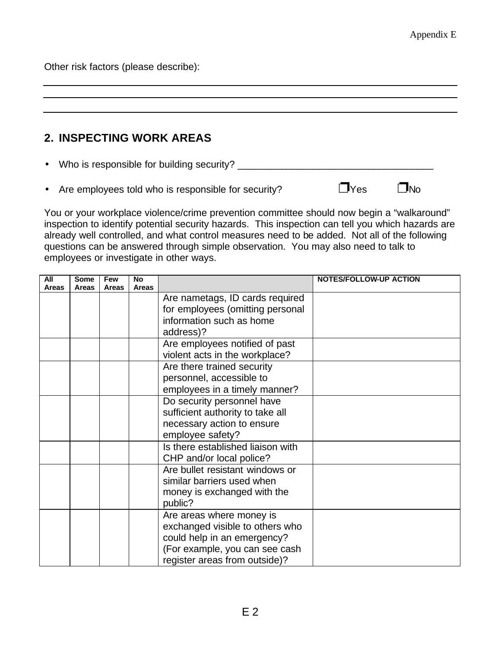Other risk factors (please describe):

### **2. INSPECTING WORK AREAS**

• Who is responsible for building security? \_\_\_\_\_\_\_\_\_\_\_\_\_\_\_\_\_\_\_\_\_\_\_\_\_\_\_\_\_\_\_\_\_\_\_\_

• Are employees told who is responsible for security?  $\Box$  Yes  $\Box$  No

You or your workplace violence/crime prevention committee should now begin a "walkaround" inspection to identify potential security hazards. This inspection can tell you which hazards are already well controlled, and what control measures need to be added. Not all of the following questions can be answered through simple observation. You may also need to talk to employees or investigate in other ways.

| All          | <b>Some</b>  | <b>Few</b>   | <b>No</b>    |                                   | <b>NOTES/FOLLOW-UP ACTION</b> |
|--------------|--------------|--------------|--------------|-----------------------------------|-------------------------------|
| <b>Areas</b> | <b>Areas</b> | <b>Areas</b> | <b>Areas</b> |                                   |                               |
|              |              |              |              | Are nametags, ID cards required   |                               |
|              |              |              |              | for employees (omitting personal  |                               |
|              |              |              |              | information such as home          |                               |
|              |              |              |              | address)?                         |                               |
|              |              |              |              | Are employees notified of past    |                               |
|              |              |              |              | violent acts in the workplace?    |                               |
|              |              |              |              | Are there trained security        |                               |
|              |              |              |              | personnel, accessible to          |                               |
|              |              |              |              | employees in a timely manner?     |                               |
|              |              |              |              | Do security personnel have        |                               |
|              |              |              |              | sufficient authority to take all  |                               |
|              |              |              |              | necessary action to ensure        |                               |
|              |              |              |              | employee safety?                  |                               |
|              |              |              |              | Is there established liaison with |                               |
|              |              |              |              | CHP and/or local police?          |                               |
|              |              |              |              | Are bullet resistant windows or   |                               |
|              |              |              |              | similar barriers used when        |                               |
|              |              |              |              | money is exchanged with the       |                               |
|              |              |              |              | public?                           |                               |
|              |              |              |              | Are areas where money is          |                               |
|              |              |              |              | exchanged visible to others who   |                               |
|              |              |              |              | could help in an emergency?       |                               |
|              |              |              |              | (For example, you can see cash    |                               |
|              |              |              |              | register areas from outside)?     |                               |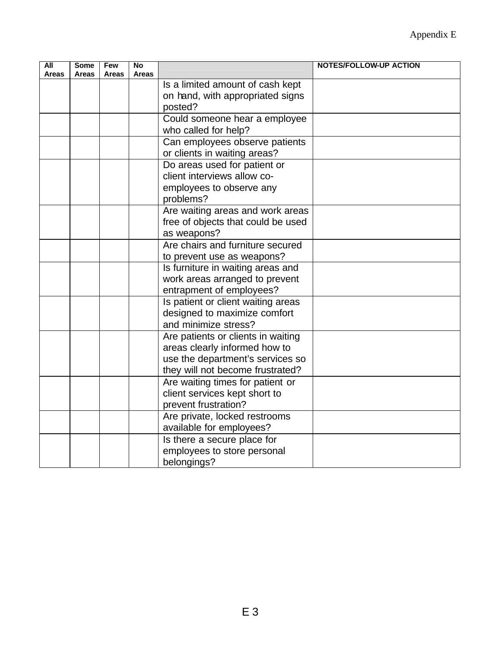| All<br><b>Areas</b> | <b>Some</b><br><b>Areas</b> | Few<br><b>Areas</b> | <b>No</b><br><b>Areas</b> |                                                      | <b>NOTES/FOLLOW-UP ACTION</b> |
|---------------------|-----------------------------|---------------------|---------------------------|------------------------------------------------------|-------------------------------|
|                     |                             |                     |                           | Is a limited amount of cash kept                     |                               |
|                     |                             |                     |                           | on hand, with appropriated signs                     |                               |
|                     |                             |                     |                           | posted?                                              |                               |
|                     |                             |                     |                           | Could someone hear a employee                        |                               |
|                     |                             |                     |                           | who called for help?                                 |                               |
|                     |                             |                     |                           | Can employees observe patients                       |                               |
|                     |                             |                     |                           | or clients in waiting areas?                         |                               |
|                     |                             |                     |                           | Do areas used for patient or                         |                               |
|                     |                             |                     |                           | client interviews allow co-                          |                               |
|                     |                             |                     |                           | employees to observe any                             |                               |
|                     |                             |                     |                           | problems?                                            |                               |
|                     |                             |                     |                           | Are waiting areas and work areas                     |                               |
|                     |                             |                     |                           | free of objects that could be used                   |                               |
|                     |                             |                     |                           | as weapons?                                          |                               |
|                     |                             |                     |                           | Are chairs and furniture secured                     |                               |
|                     |                             |                     |                           | to prevent use as weapons?                           |                               |
|                     |                             |                     |                           | Is furniture in waiting areas and                    |                               |
|                     |                             |                     |                           | work areas arranged to prevent                       |                               |
|                     |                             |                     |                           | entrapment of employees?                             |                               |
|                     |                             |                     |                           | Is patient or client waiting areas                   |                               |
|                     |                             |                     |                           | designed to maximize comfort<br>and minimize stress? |                               |
|                     |                             |                     |                           | Are patients or clients in waiting                   |                               |
|                     |                             |                     |                           | areas clearly informed how to                        |                               |
|                     |                             |                     |                           | use the department's services so                     |                               |
|                     |                             |                     |                           | they will not become frustrated?                     |                               |
|                     |                             |                     |                           | Are waiting times for patient or                     |                               |
|                     |                             |                     |                           | client services kept short to                        |                               |
|                     |                             |                     |                           | prevent frustration?                                 |                               |
|                     |                             |                     |                           | Are private, locked restrooms                        |                               |
|                     |                             |                     |                           | available for employees?                             |                               |
|                     |                             |                     |                           | Is there a secure place for                          |                               |
|                     |                             |                     |                           | employees to store personal                          |                               |
|                     |                             |                     |                           | belongings?                                          |                               |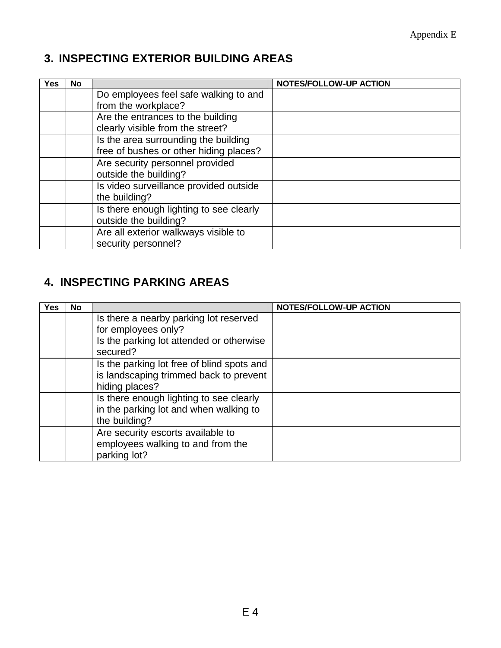## **3. INSPECTING EXTERIOR BUILDING AREAS**

| Yes | No |                                         | <b>NOTES/FOLLOW-UP ACTION</b> |
|-----|----|-----------------------------------------|-------------------------------|
|     |    | Do employees feel safe walking to and   |                               |
|     |    | from the workplace?                     |                               |
|     |    | Are the entrances to the building       |                               |
|     |    | clearly visible from the street?        |                               |
|     |    | Is the area surrounding the building    |                               |
|     |    | free of bushes or other hiding places?  |                               |
|     |    | Are security personnel provided         |                               |
|     |    | outside the building?                   |                               |
|     |    | Is video surveillance provided outside  |                               |
|     |    | the building?                           |                               |
|     |    | Is there enough lighting to see clearly |                               |
|     |    | outside the building?                   |                               |
|     |    | Are all exterior walkways visible to    |                               |
|     |    | security personnel?                     |                               |

## **4. INSPECTING PARKING AREAS**

| <b>Yes</b> | No |                                                                                                        | <b>NOTES/FOLLOW-UP ACTION</b> |
|------------|----|--------------------------------------------------------------------------------------------------------|-------------------------------|
|            |    | Is there a nearby parking lot reserved<br>for employees only?                                          |                               |
|            |    | Is the parking lot attended or otherwise<br>secured?                                                   |                               |
|            |    | Is the parking lot free of blind spots and<br>is landscaping trimmed back to prevent<br>hiding places? |                               |
|            |    | Is there enough lighting to see clearly<br>in the parking lot and when walking to<br>the building?     |                               |
|            |    | Are security escorts available to<br>employees walking to and from the<br>parking lot?                 |                               |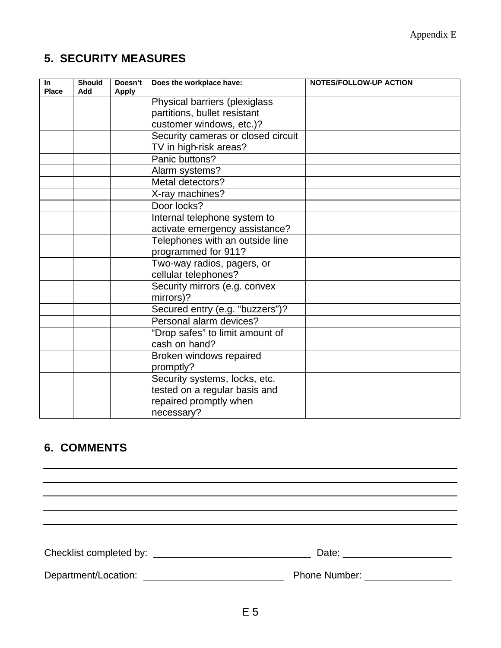## **5. SECURITY MEASURES**

| <b>In</b><br><b>Place</b> | <b>Should</b><br>Add | Doesn't      | Does the workplace have:           | <b>NOTES/FOLLOW-UP ACTION</b> |
|---------------------------|----------------------|--------------|------------------------------------|-------------------------------|
|                           |                      | <b>Apply</b> |                                    |                               |
|                           |                      |              | Physical barriers (plexiglass      |                               |
|                           |                      |              | partitions, bullet resistant       |                               |
|                           |                      |              | customer windows, etc.)?           |                               |
|                           |                      |              | Security cameras or closed circuit |                               |
|                           |                      |              | TV in high-risk areas?             |                               |
|                           |                      |              | Panic buttons?                     |                               |
|                           |                      |              | Alarm systems?                     |                               |
|                           |                      |              | Metal detectors?                   |                               |
|                           |                      |              | X-ray machines?                    |                               |
|                           |                      |              | Door locks?                        |                               |
|                           |                      |              | Internal telephone system to       |                               |
|                           |                      |              | activate emergency assistance?     |                               |
|                           |                      |              | Telephones with an outside line    |                               |
|                           |                      |              | programmed for 911?                |                               |
|                           |                      |              | Two-way radios, pagers, or         |                               |
|                           |                      |              | cellular telephones?               |                               |
|                           |                      |              | Security mirrors (e.g. convex      |                               |
|                           |                      |              | mirrors)?                          |                               |
|                           |                      |              | Secured entry (e.g. "buzzers")?    |                               |
|                           |                      |              | Personal alarm devices?            |                               |
|                           |                      |              | "Drop safes" to limit amount of    |                               |
|                           |                      |              | cash on hand?                      |                               |
|                           |                      |              | Broken windows repaired            |                               |
|                           |                      |              | promptly?                          |                               |
|                           |                      |              | Security systems, locks, etc.      |                               |
|                           |                      |              | tested on a regular basis and      |                               |
|                           |                      |              | repaired promptly when             |                               |
|                           |                      |              | necessary?                         |                               |

## **6. COMMENTS**

Checklist completed by: \_\_\_\_\_\_\_\_\_\_\_\_\_\_\_\_\_\_\_\_\_\_\_\_\_\_\_\_\_ Date: \_\_\_\_\_\_\_\_\_\_\_\_\_\_\_\_\_\_\_\_ Department/Location: \_\_\_\_\_\_\_\_\_\_\_\_\_\_\_\_\_\_\_\_\_\_\_\_\_\_ Phone Number: \_\_\_\_\_\_\_\_\_\_\_\_\_\_\_\_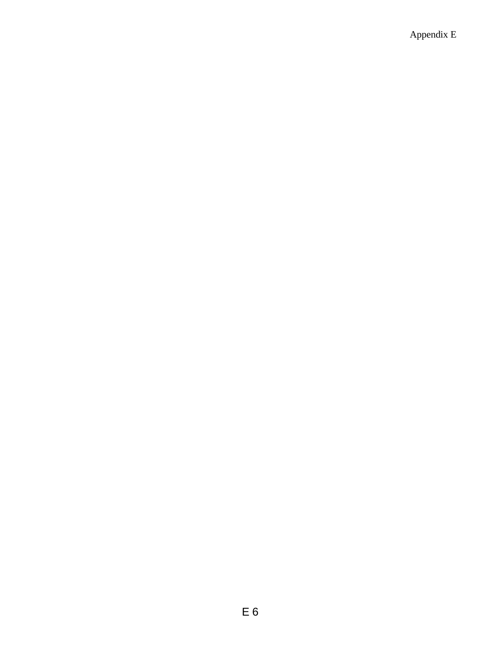### Appendix E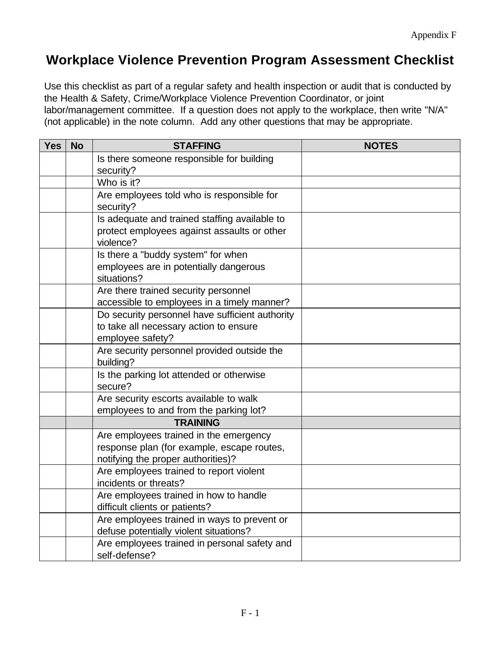# **Workplace Violence Prevention Program Assessment Checklist**

Use this checklist as part of a regular safety and health inspection or audit that is conducted by the Health & Safety, Crime/Workplace Violence Prevention Coordinator, or joint labor/management committee. If a question does not apply to the workplace, then write "N/A" (not applicable) in the note column. Add any other questions that may be appropriate.

| <b>Yes</b> | <b>No</b> | <b>STAFFING</b>                                                              | <b>NOTES</b> |
|------------|-----------|------------------------------------------------------------------------------|--------------|
|            |           | Is there someone responsible for building                                    |              |
|            |           | security?                                                                    |              |
|            |           | Who is it?                                                                   |              |
|            |           | Are employees told who is responsible for                                    |              |
|            |           | security?                                                                    |              |
|            |           | Is adequate and trained staffing available to                                |              |
|            |           | protect employees against assaults or other                                  |              |
|            |           | violence?                                                                    |              |
|            |           | Is there a "buddy system" for when<br>employees are in potentially dangerous |              |
|            |           | situations?                                                                  |              |
|            |           | Are there trained security personnel                                         |              |
|            |           | accessible to employees in a timely manner?                                  |              |
|            |           | Do security personnel have sufficient authority                              |              |
|            |           | to take all necessary action to ensure                                       |              |
|            |           | employee safety?                                                             |              |
|            |           | Are security personnel provided outside the<br>building?                     |              |
|            |           | Is the parking lot attended or otherwise                                     |              |
|            |           | secure?                                                                      |              |
|            |           | Are security escorts available to walk                                       |              |
|            |           | employees to and from the parking lot?                                       |              |
|            |           | <b>TRAINING</b>                                                              |              |
|            |           | Are employees trained in the emergency                                       |              |
|            |           | response plan (for example, escape routes,                                   |              |
|            |           | notifying the proper authorities)?                                           |              |
|            |           | Are employees trained to report violent<br>incidents or threats?             |              |
|            |           | Are employees trained in how to handle                                       |              |
|            |           | difficult clients or patients?                                               |              |
|            |           | Are employees trained in ways to prevent or                                  |              |
|            |           | defuse potentially violent situations?                                       |              |
|            |           | Are employees trained in personal safety and                                 |              |
|            |           | self-defense?                                                                |              |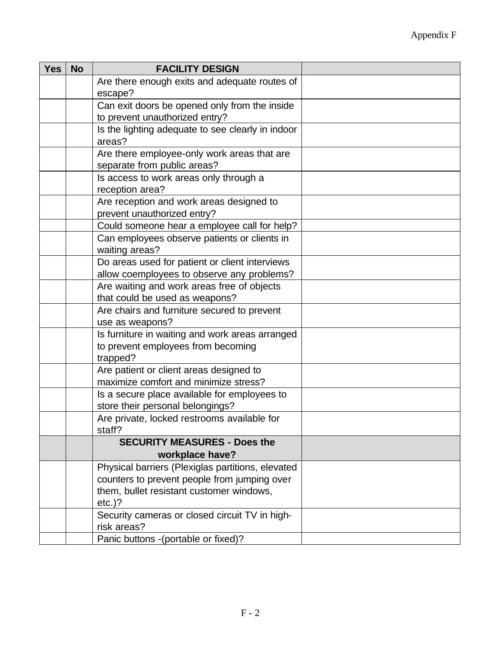| <b>Yes</b> | <b>No</b> | <b>FACILITY DESIGN</b>                                         |  |
|------------|-----------|----------------------------------------------------------------|--|
|            |           | Are there enough exits and adequate routes of                  |  |
|            |           | escape?                                                        |  |
|            |           | Can exit doors be opened only from the inside                  |  |
|            |           | to prevent unauthorized entry?                                 |  |
|            |           | Is the lighting adequate to see clearly in indoor              |  |
|            |           | areas?                                                         |  |
|            |           | Are there employee-only work areas that are                    |  |
|            |           | separate from public areas?                                    |  |
|            |           | Is access to work areas only through a                         |  |
|            |           | reception area?                                                |  |
|            |           | Are reception and work areas designed to                       |  |
|            |           | prevent unauthorized entry?                                    |  |
|            |           | Could someone hear a employee call for help?                   |  |
|            |           | Can employees observe patients or clients in<br>waiting areas? |  |
|            |           | Do areas used for patient or client interviews                 |  |
|            |           | allow coemployees to observe any problems?                     |  |
|            |           | Are waiting and work areas free of objects                     |  |
|            |           | that could be used as weapons?                                 |  |
|            |           | Are chairs and furniture secured to prevent                    |  |
|            |           | use as weapons?                                                |  |
|            |           | Is furniture in waiting and work areas arranged                |  |
|            |           | to prevent employees from becoming                             |  |
|            |           | trapped?                                                       |  |
|            |           | Are patient or client areas designed to                        |  |
|            |           | maximize comfort and minimize stress?                          |  |
|            |           | Is a secure place available for employees to                   |  |
|            |           | store their personal belongings?                               |  |
|            |           | Are private, locked restrooms available for                    |  |
|            |           | staff?                                                         |  |
|            |           | <b>SECURITY MEASURES - Does the</b>                            |  |
|            |           | workplace have?                                                |  |
|            |           | Physical barriers (Plexiglas partitions, elevated              |  |
|            |           | counters to prevent people from jumping over                   |  |
|            |           | them, bullet resistant customer windows,                       |  |
|            |           | $etc.$ )?                                                      |  |
|            |           | Security cameras or closed circuit TV in high-                 |  |
|            |           | risk areas?                                                    |  |
|            |           | Panic buttons -(portable or fixed)?                            |  |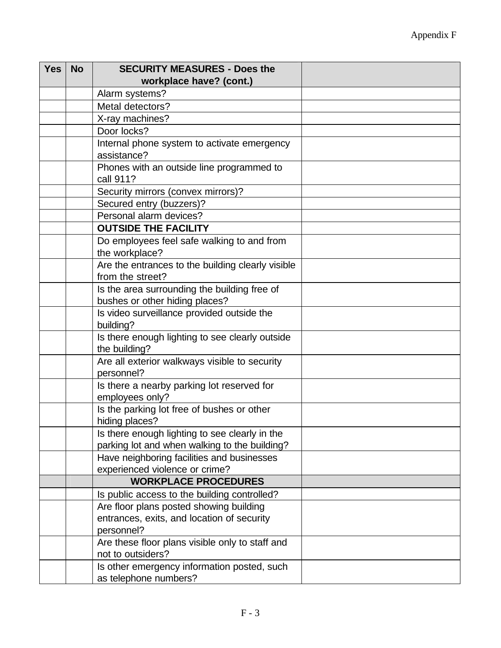| <b>Yes</b> | <b>No</b> | <b>SECURITY MEASURES - Does the</b>                                  |  |
|------------|-----------|----------------------------------------------------------------------|--|
|            |           | workplace have? (cont.)                                              |  |
|            |           | Alarm systems?                                                       |  |
|            |           | Metal detectors?                                                     |  |
|            |           | X-ray machines?                                                      |  |
|            |           | Door locks?                                                          |  |
|            |           | Internal phone system to activate emergency                          |  |
|            |           | assistance?                                                          |  |
|            |           | Phones with an outside line programmed to                            |  |
|            |           | call 911?                                                            |  |
|            |           | Security mirrors (convex mirrors)?                                   |  |
|            |           | Secured entry (buzzers)?                                             |  |
|            |           | Personal alarm devices?                                              |  |
|            |           | <b>OUTSIDE THE FACILITY</b>                                          |  |
|            |           | Do employees feel safe walking to and from<br>the workplace?         |  |
|            |           | Are the entrances to the building clearly visible                    |  |
|            |           | from the street?                                                     |  |
|            |           | Is the area surrounding the building free of                         |  |
|            |           | bushes or other hiding places?                                       |  |
|            |           | Is video surveillance provided outside the<br>building?              |  |
|            |           | Is there enough lighting to see clearly outside<br>the building?     |  |
|            |           | Are all exterior walkways visible to security<br>personnel?          |  |
|            |           | Is there a nearby parking lot reserved for<br>employees only?        |  |
|            |           | Is the parking lot free of bushes or other                           |  |
|            |           | hiding places?                                                       |  |
|            |           | Is there enough lighting to see clearly in the                       |  |
|            |           | parking lot and when walking to the building?                        |  |
|            |           | Have neighboring facilities and businesses                           |  |
|            |           | experienced violence or crime?                                       |  |
|            |           | <b>WORKPLACE PROCEDURES</b>                                          |  |
|            |           | Is public access to the building controlled?                         |  |
|            |           | Are floor plans posted showing building                              |  |
|            |           | entrances, exits, and location of security                           |  |
|            |           | personnel?                                                           |  |
|            |           | Are these floor plans visible only to staff and                      |  |
|            |           | not to outsiders?                                                    |  |
|            |           | Is other emergency information posted, such<br>as telephone numbers? |  |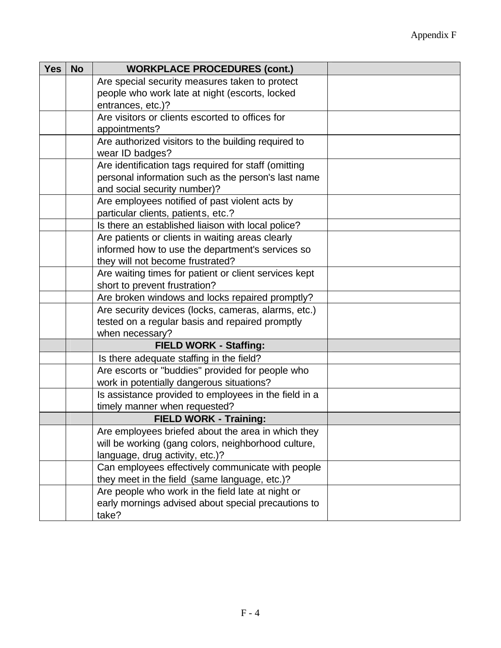| <b>Yes</b> | <b>No</b> | <b>WORKPLACE PROCEDURES (cont.)</b>                                                                      |  |
|------------|-----------|----------------------------------------------------------------------------------------------------------|--|
|            |           | Are special security measures taken to protect                                                           |  |
|            |           | people who work late at night (escorts, locked                                                           |  |
|            |           | entrances, etc.)?                                                                                        |  |
|            |           | Are visitors or clients escorted to offices for                                                          |  |
|            |           | appointments?                                                                                            |  |
|            |           | Are authorized visitors to the building required to<br>wear ID badges?                                   |  |
|            |           | Are identification tags required for staff (omitting                                                     |  |
|            |           | personal information such as the person's last name                                                      |  |
|            |           | and social security number)?                                                                             |  |
|            |           | Are employees notified of past violent acts by                                                           |  |
|            |           | particular clients, patients, etc.?                                                                      |  |
|            |           | Is there an established liaison with local police?                                                       |  |
|            |           | Are patients or clients in waiting areas clearly                                                         |  |
|            |           | informed how to use the department's services so                                                         |  |
|            |           | they will not become frustrated?                                                                         |  |
|            |           | Are waiting times for patient or client services kept                                                    |  |
|            |           | short to prevent frustration?                                                                            |  |
|            |           | Are broken windows and locks repaired promptly?                                                          |  |
|            |           | Are security devices (locks, cameras, alarms, etc.)                                                      |  |
|            |           | tested on a regular basis and repaired promptly                                                          |  |
|            |           | when necessary?                                                                                          |  |
|            |           | <b>FIELD WORK - Staffing:</b>                                                                            |  |
|            |           | Is there adequate staffing in the field?                                                                 |  |
|            |           | Are escorts or "buddies" provided for people who                                                         |  |
|            |           | work in potentially dangerous situations?                                                                |  |
|            |           | Is assistance provided to employees in the field in a                                                    |  |
|            |           | timely manner when requested?                                                                            |  |
|            |           | <b>FIELD WORK - Training:</b>                                                                            |  |
|            |           | Are employees briefed about the area in which they                                                       |  |
|            |           | will be working (gang colors, neighborhood culture,                                                      |  |
|            |           | language, drug activity, etc.)?                                                                          |  |
|            |           | Can employees effectively communicate with people                                                        |  |
|            |           | they meet in the field (same language, etc.)?                                                            |  |
|            |           | Are people who work in the field late at night or<br>early mornings advised about special precautions to |  |
|            |           | take?                                                                                                    |  |
|            |           |                                                                                                          |  |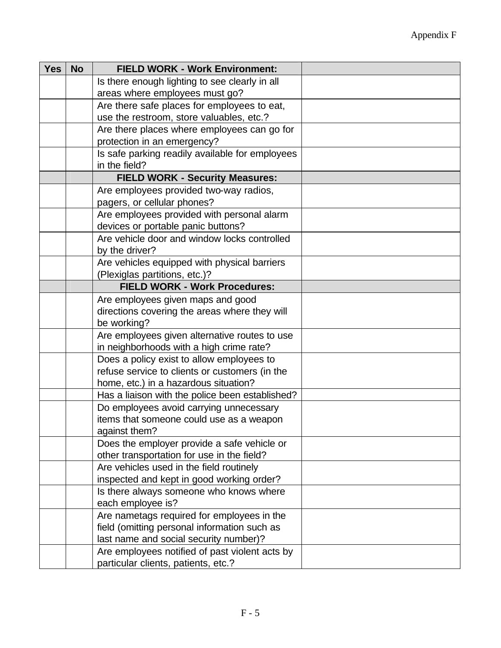| <b>Yes</b> | <b>No</b> | <b>FIELD WORK - Work Environment:</b>                                 |  |
|------------|-----------|-----------------------------------------------------------------------|--|
|            |           | Is there enough lighting to see clearly in all                        |  |
|            |           | areas where employees must go?                                        |  |
|            |           | Are there safe places for employees to eat,                           |  |
|            |           | use the restroom, store valuables, etc.?                              |  |
|            |           | Are there places where employees can go for                           |  |
|            |           | protection in an emergency?                                           |  |
|            |           | Is safe parking readily available for employees<br>in the field?      |  |
|            |           | <b>FIELD WORK - Security Measures:</b>                                |  |
|            |           | Are employees provided two-way radios,<br>pagers, or cellular phones? |  |
|            |           | Are employees provided with personal alarm                            |  |
|            |           | devices or portable panic buttons?                                    |  |
|            |           | Are vehicle door and window locks controlled                          |  |
|            |           | by the driver?                                                        |  |
|            |           | Are vehicles equipped with physical barriers                          |  |
|            |           | (Plexiglas partitions, etc.)?                                         |  |
|            |           | <b>FIELD WORK - Work Procedures:</b>                                  |  |
|            |           | Are employees given maps and good                                     |  |
|            |           | directions covering the areas where they will                         |  |
|            |           | be working?                                                           |  |
|            |           | Are employees given alternative routes to use                         |  |
|            |           | in neighborhoods with a high crime rate?                              |  |
|            |           | Does a policy exist to allow employees to                             |  |
|            |           | refuse service to clients or customers (in the                        |  |
|            |           | home, etc.) in a hazardous situation?                                 |  |
|            |           | Has a liaison with the police been established?                       |  |
|            |           | Do employees avoid carrying unnecessary                               |  |
|            |           | items that someone could use as a weapon<br>against them?             |  |
|            |           | Does the employer provide a safe vehicle or                           |  |
|            |           | other transportation for use in the field?                            |  |
|            |           | Are vehicles used in the field routinely                              |  |
|            |           | inspected and kept in good working order?                             |  |
|            |           | Is there always someone who knows where                               |  |
|            |           | each employee is?                                                     |  |
|            |           | Are nametags required for employees in the                            |  |
|            |           | field (omitting personal information such as                          |  |
|            |           | last name and social security number)?                                |  |
|            |           | Are employees notified of past violent acts by                        |  |
|            |           | particular clients, patients, etc.?                                   |  |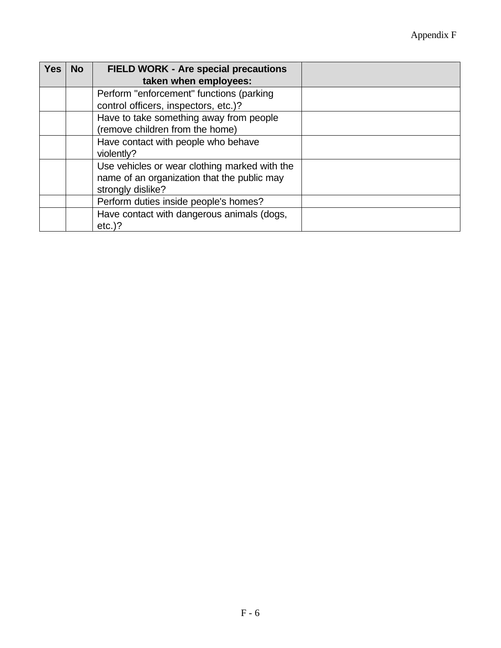| <b>Yes</b> | <b>No</b> | FIELD WORK - Are special precautions<br>taken when employees:                                                     |  |
|------------|-----------|-------------------------------------------------------------------------------------------------------------------|--|
|            |           | Perform "enforcement" functions (parking<br>control officers, inspectors, etc.)?                                  |  |
|            |           | Have to take something away from people<br>(remove children from the home)                                        |  |
|            |           | Have contact with people who behave<br>violently?                                                                 |  |
|            |           | Use vehicles or wear clothing marked with the<br>name of an organization that the public may<br>strongly dislike? |  |
|            |           | Perform duties inside people's homes?                                                                             |  |
|            |           | Have contact with dangerous animals (dogs,<br>$etc.$ )?                                                           |  |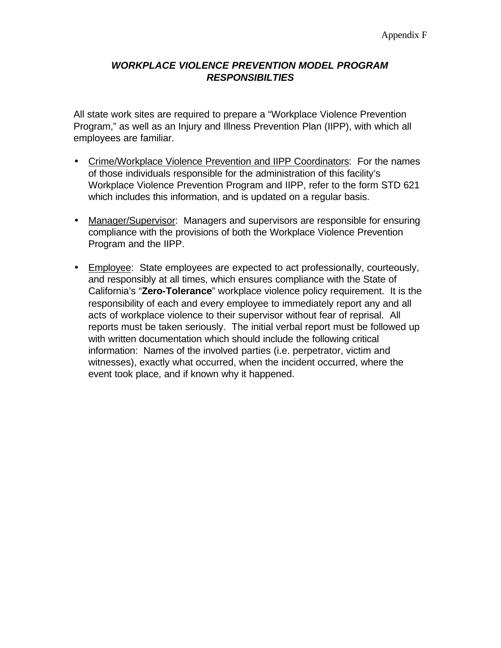#### *WORKPLACE VIOLENCE PREVENTION MODEL PROGRAM RESPONSIBILTIES*

All state work sites are required to prepare a "Workplace Violence Prevention Program," as well as an Injury and Illness Prevention Plan (IIPP), with which all employees are familiar.

- Crime/Workplace Violence Prevention and IIPP Coordinators: For the names of those individuals responsible for the administration of this facility's Workplace Violence Prevention Program and IIPP, refer to the form STD 621 which includes this information, and is updated on a regular basis.
- Manager/Supervisor: Managers and supervisors are responsible for ensuring compliance with the provisions of both the Workplace Violence Prevention Program and the IIPP.
- Employee: State employees are expected to act professionally, courteously, and responsibly at all times, which ensures compliance with the State of California's "**Zero-Tolerance**" workplace violence policy requirement. It is the responsibility of each and every employee to immediately report any and all acts of workplace violence to their supervisor without fear of reprisal. All reports must be taken seriously. The initial verbal report must be followed up with written documentation which should include the following critical information: Names of the involved parties (i.e. perpetrator, victim and witnesses), exactly what occurred, when the incident occurred, where the event took place, and if known why it happened.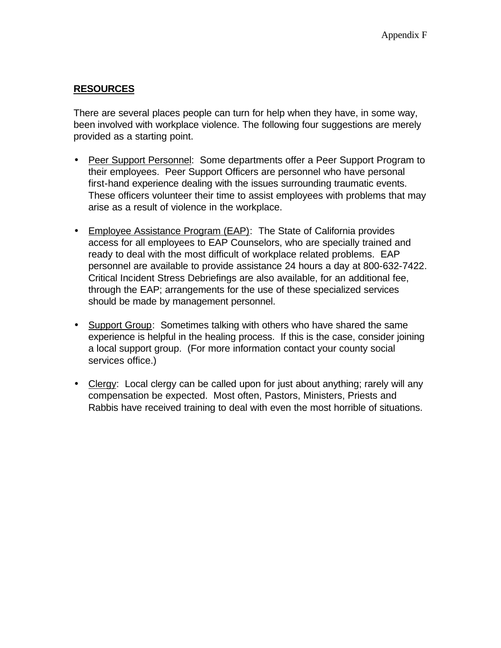#### **RESOURCES**

There are several places people can turn for help when they have, in some way, been involved with workplace violence. The following four suggestions are merely provided as a starting point.

- Peer Support Personnel: Some departments offer a Peer Support Program to their employees. Peer Support Officers are personnel who have personal first-hand experience dealing with the issues surrounding traumatic events. These officers volunteer their time to assist employees with problems that may arise as a result of violence in the workplace.
- Employee Assistance Program (EAP): The State of California provides access for all employees to EAP Counselors, who are specially trained and ready to deal with the most difficult of workplace related problems. EAP personnel are available to provide assistance 24 hours a day at 800-632-7422. Critical Incident Stress Debriefings are also available, for an additional fee, through the EAP; arrangements for the use of these specialized services should be made by management personnel.
- Support Group: Sometimes talking with others who have shared the same experience is helpful in the healing process. If this is the case, consider joining a local support group. (For more information contact your county social services office.)
- Clergy: Local clergy can be called upon for just about anything; rarely will any compensation be expected. Most often, Pastors, Ministers, Priests and Rabbis have received training to deal with even the most horrible of situations.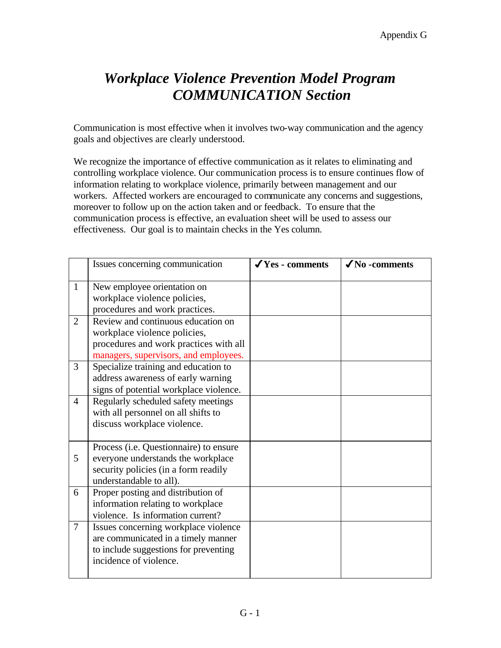# *Workplace Violence Prevention Model Program COMMUNICATION Section*

Communication is most effective when it involves two-way communication and the agency goals and objectives are clearly understood.

We recognize the importance of effective communication as it relates to eliminating and controlling workplace violence. Our communication process is to ensure continues flow of information relating to workplace violence, primarily between management and our workers. Affected workers are encouraged to communicate any concerns and suggestions, moreover to follow up on the action taken and or feedback. To ensure that the communication process is effective, an evaluation sheet will be used to assess our effectiveness. Our goal is to maintain checks in the Yes column.

|                | Issues concerning communication        | $\sqrt{Y}$ es - comments | $\sqrt{\text{No}}$ -comments |
|----------------|----------------------------------------|--------------------------|------------------------------|
| $\mathbf{1}$   | New employee orientation on            |                          |                              |
|                | workplace violence policies,           |                          |                              |
|                | procedures and work practices.         |                          |                              |
| $\overline{2}$ | Review and continuous education on     |                          |                              |
|                | workplace violence policies,           |                          |                              |
|                | procedures and work practices with all |                          |                              |
|                | managers, supervisors, and employees.  |                          |                              |
| 3              | Specialize training and education to   |                          |                              |
|                | address awareness of early warning     |                          |                              |
|                | signs of potential workplace violence. |                          |                              |
| $\overline{4}$ | Regularly scheduled safety meetings    |                          |                              |
|                | with all personnel on all shifts to    |                          |                              |
|                | discuss workplace violence.            |                          |                              |
|                |                                        |                          |                              |
|                | Process (i.e. Questionnaire) to ensure |                          |                              |
| 5              | everyone understands the workplace     |                          |                              |
|                | security policies (in a form readily   |                          |                              |
|                | understandable to all).                |                          |                              |
| 6              | Proper posting and distribution of     |                          |                              |
|                | information relating to workplace      |                          |                              |
|                | violence. Is information current?      |                          |                              |
| $\overline{7}$ | Issues concerning workplace violence   |                          |                              |
|                | are communicated in a timely manner    |                          |                              |
|                | to include suggestions for preventing  |                          |                              |
|                | incidence of violence.                 |                          |                              |
|                |                                        |                          |                              |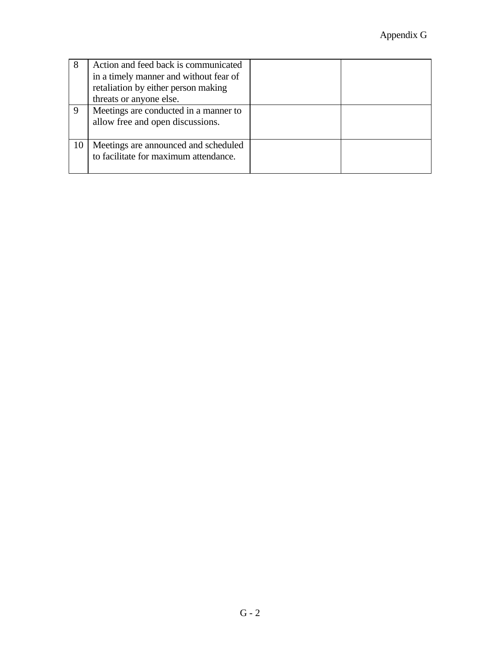| 8  | Action and feed back is communicated   |  |
|----|----------------------------------------|--|
|    | in a timely manner and without fear of |  |
|    | retaliation by either person making    |  |
|    | threats or anyone else.                |  |
| 9  | Meetings are conducted in a manner to  |  |
|    | allow free and open discussions.       |  |
|    |                                        |  |
| 10 | Meetings are announced and scheduled   |  |
|    | to facilitate for maximum attendance.  |  |
|    |                                        |  |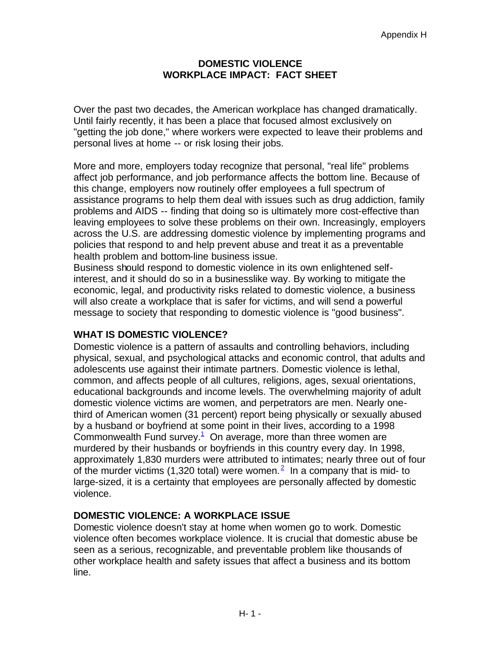#### **DOMESTIC VIOLENCE WORKPLACE IMPACT: FACT SHEET**

Over the past two decades, the American workplace has changed dramatically. Until fairly recently, it has been a place that focused almost exclusively on "getting the job done," where workers were expected to leave their problems and personal lives at home -- or risk losing their jobs.

More and more, employers today recognize that personal, "real life" problems affect job performance, and job performance affects the bottom line. Because of this change, employers now routinely offer employees a full spectrum of assistance programs to help them deal with issues such as drug addiction, family problems and AIDS -- finding that doing so is ultimately more cost-effective than leaving employees to solve these problems on their own. Increasingly, employers across the U.S. are addressing domestic violence by implementing programs and policies that respond to and help prevent abuse and treat it as a preventable health problem and bottom-line business issue.

Business should respond to domestic violence in its own enlightened selfinterest, and it should do so in a businesslike way. By working to mitigate the economic, legal, and productivity risks related to domestic violence, a business will also create a workplace that is safer for victims, and will send a powerful message to society that responding to domestic violence is "good business".

#### **WHAT IS DOMESTIC VIOLENCE?**

Domestic violence is a pattern of assaults and controlling behaviors, including physical, sexual, and psychological attacks and economic control, that adults and adolescents use against their intimate partners. Domestic violence is lethal, common, and affects people of all cultures, religions, ages, sexual orientations, educational backgrounds and income levels. The overwhelming majority of adult domestic violence victims are women, and perpetrators are men. Nearly onethird of American women (31 percent) report being physically or sexually abused by a husband or boyfriend at some point in their lives, according to a 1998 Commonwealth Fund survey. $1$  On average, more than three women are murdered by their husbands or boyfriends in this country every day. In 1998, approximately 1,830 murders were attributed to intimates; nearly three out of four of the murder victims (1,320 total) were women.<sup>2</sup> In a company that is mid- to large-sized, it is a certainty that employees are personally affected by domestic violence.

#### **DOMESTIC VIOLENCE: A WORKPLACE ISSUE**

Domestic violence doesn't stay at home when women go to work. Domestic violence often becomes workplace violence. It is crucial that domestic abuse be seen as a serious, recognizable, and preventable problem like thousands of other workplace health and safety issues that affect a business and its bottom line.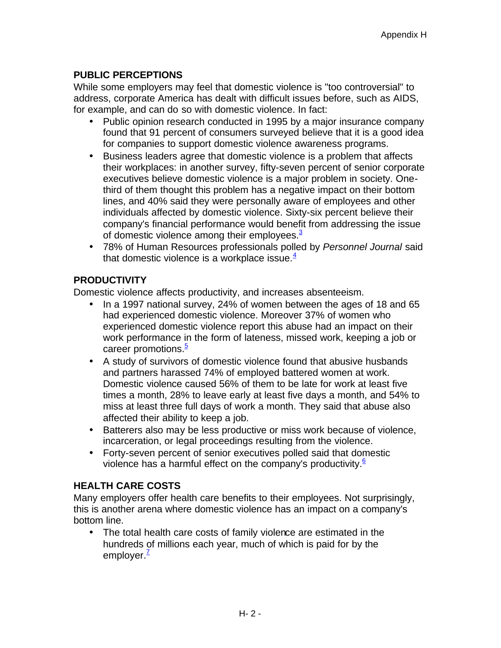#### **PUBLIC PERCEPTIONS**

While some employers may feel that domestic violence is "too controversial" to address, corporate America has dealt with difficult issues before, such as AIDS, for example, and can do so with domestic violence. In fact:

- Public opinion research conducted in 1995 by a major insurance company found that 91 percent of consumers surveyed believe that it is a good idea for companies to support domestic violence awareness programs.
- Business leaders agree that domestic violence is a problem that affects their workplaces: in another survey, fifty-seven percent of senior corporate executives believe domestic violence is a major problem in society. Onethird of them thought this problem has a negative impact on their bottom lines, and 40% said they were personally aware of employees and other individuals affected by domestic violence. Sixty-six percent believe their company's financial performance would benefit from addressing the issue of domestic violence among their employees. $3$
- 78% of Human Resources professionals polled by *Personnel Journal* said that domestic violence is a workplace issue. $4$

#### **PRODUCTIVITY**

Domestic violence affects productivity, and increases absenteeism.

- In a 1997 national survey, 24% of women between the ages of 18 and 65 had experienced domestic violence. Moreover 37% of women who experienced domestic violence report this abuse had an impact on their work performance in the form of lateness, missed work, keeping a job or career promotions.<sup>5</sup>
- A study of survivors of domestic violence found that abusive husbands and partners harassed 74% of employed battered women at work. Domestic violence caused 56% of them to be late for work at least five times a month, 28% to leave early at least five days a month, and 54% to miss at least three full days of work a month. They said that abuse also affected their ability to keep a job.
- Batterers also may be less productive or miss work because of violence, incarceration, or legal proceedings resulting from the violence.
- Forty-seven percent of senior executives polled said that domestic violence has a harmful effect on the company's productivity. $6$

#### **HEALTH CARE COSTS**

Many employers offer health care benefits to their employees. Not surprisingly, this is another arena where domestic violence has an impact on a company's bottom line.

• The total health care costs of family violence are estimated in the hundreds of millions each year, much of which is paid for by the employer.<sup>7</sup>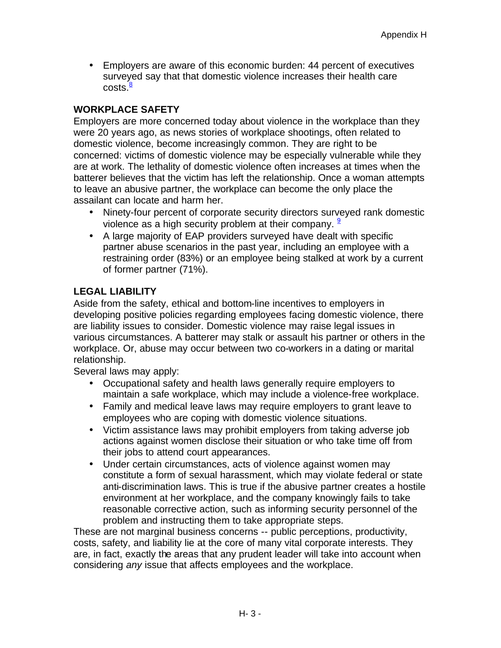• Employers are aware of this economic burden: 44 percent of executives surveyed say that that domestic violence increases their health care costs.<sup>8</sup>

#### **WORKPLACE SAFETY**

Employers are more concerned today about violence in the workplace than they were 20 years ago, as news stories of workplace shootings, often related to domestic violence, become increasingly common. They are right to be concerned: victims of domestic violence may be especially vulnerable while they are at work. The lethality of domestic violence often increases at times when the batterer believes that the victim has left the relationship. Once a woman attempts to leave an abusive partner, the workplace can become the only place the assailant can locate and harm her.

- Ninety-four percent of corporate security directors surveyed rank domestic violence as a high security problem at their company.  $9$
- A large majority of EAP providers surveyed have dealt with specific partner abuse scenarios in the past year, including an employee with a restraining order (83%) or an employee being stalked at work by a current of former partner (71%).

#### **LEGAL LIABILITY**

Aside from the safety, ethical and bottom-line incentives to employers in developing positive policies regarding employees facing domestic violence, there are liability issues to consider. Domestic violence may raise legal issues in various circumstances. A batterer may stalk or assault his partner or others in the workplace. Or, abuse may occur between two co-workers in a dating or marital relationship.

Several laws may apply:

- Occupational safety and health laws generally require employers to maintain a safe workplace, which may include a violence-free workplace.
- Family and medical leave laws may require employers to grant leave to employees who are coping with domestic violence situations.
- Victim assistance laws may prohibit employers from taking adverse job actions against women disclose their situation or who take time off from their jobs to attend court appearances.
- Under certain circumstances, acts of violence against women may constitute a form of sexual harassment, which may violate federal or state anti-discrimination laws. This is true if the abusive partner creates a hostile environment at her workplace, and the company knowingly fails to take reasonable corrective action, such as informing security personnel of the problem and instructing them to take appropriate steps.

These are not marginal business concerns -- public perceptions, productivity, costs, safety, and liability lie at the core of many vital corporate interests. They are, in fact, exactly the areas that any prudent leader will take into account when considering *any* issue that affects employees and the workplace.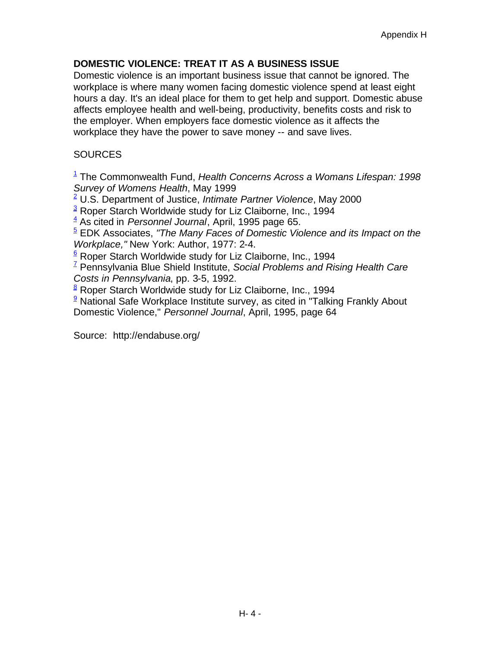#### **DOMESTIC VIOLENCE: TREAT IT AS A BUSINESS ISSUE**

Domestic violence is an important business issue that cannot be ignored. The workplace is where many women facing domestic violence spend at least eight hours a day. It's an ideal place for them to get help and support. Domestic abuse affects employee health and well-being, productivity, benefits costs and risk to the employer. When employers face domestic violence as it affects the workplace they have the power to save money -- and save lives.

#### **SOURCES**

1 The Commonwealth Fund, *Health Concerns Across a Womans Lifespan: 1998 Survey of Womens Health*, May 1999

2 U.S. Department of Justice, *Intimate Partner Violence*, May 2000

<sup>3</sup> Roper Starch Worldwide study for Liz Claiborne, Inc., 1994

4 As cited in *Personnel Journal*, April, 1995 page 65.

5 EDK Associates, *"The Many Faces of Domestic Violence and its Impact on the Workplace,"* New York: Author, 1977: 2-4.

<sup>6</sup> Roper Starch Worldwide study for Liz Claiborne, Inc., 1994

7 Pennsylvania Blue Shield Institute, *Social Problems and Rising Health Care Costs in Pennsylvania*, pp. 3-5, 1992.

<sup>8</sup> Roper Starch Worldwide study for Liz Claiborne, Inc., 1994

<sup>9</sup> National Safe Workplace Institute survey, as cited in "Talking Frankly About Domestic Violence," *Personnel Journal*, April, 1995, page 64

Source: http://endabuse.org/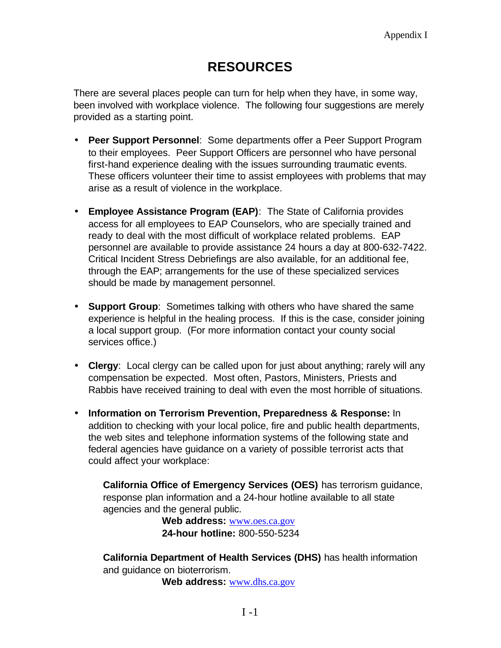# **RESOURCES**

There are several places people can turn for help when they have, in some way, been involved with workplace violence. The following four suggestions are merely provided as a starting point.

- **Peer Support Personnel**: Some departments offer a Peer Support Program to their employees. Peer Support Officers are personnel who have personal first-hand experience dealing with the issues surrounding traumatic events. These officers volunteer their time to assist employees with problems that may arise as a result of violence in the workplace.
- **Employee Assistance Program (EAP)**: The State of California provides access for all employees to EAP Counselors, who are specially trained and ready to deal with the most difficult of workplace related problems. EAP personnel are available to provide assistance 24 hours a day at 800-632-7422. Critical Incident Stress Debriefings are also available, for an additional fee, through the EAP; arrangements for the use of these specialized services should be made by management personnel.
- **Support Group**: Sometimes talking with others who have shared the same experience is helpful in the healing process. If this is the case, consider joining a local support group. (For more information contact your county social services office.)
- **Clergy**: Local clergy can be called upon for just about anything; rarely will any compensation be expected. Most often, Pastors, Ministers, Priests and Rabbis have received training to deal with even the most horrible of situations.
- **Information on Terrorism Prevention, Preparedness & Response:** In addition to checking with your local police, fire and public health departments, the web sites and telephone information systems of the following state and federal agencies have guidance on a variety of possible terrorist acts that could affect your workplace:

**California Office of Emergency Services (OES)** has terrorism guidance, response plan information and a 24-hour hotline available to all state agencies and the general public.

**Web address:** www.oes.ca.gov **24-hour hotline:** 800-550-5234

**California Department of Health Services (DHS)** has health information and guidance on bioterrorism.

**Web address:** www.dhs.ca.gov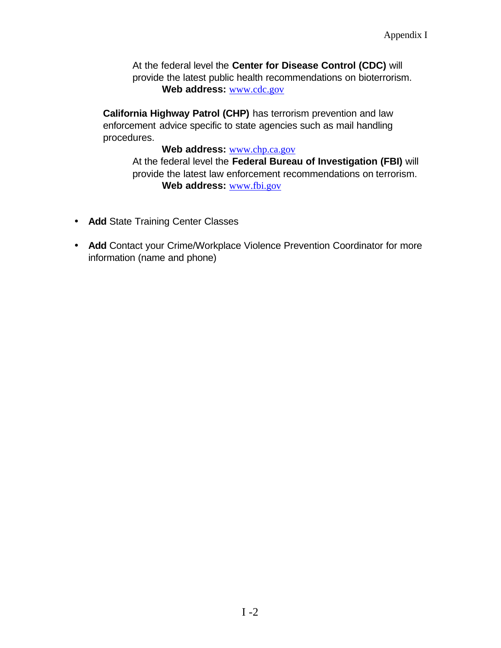At the federal level the **Center for Disease Control (CDC)** will provide the latest public health recommendations on bioterrorism. **Web address:** www.cdc.gov

**California Highway Patrol (CHP)** has terrorism prevention and law enforcement advice specific to state agencies such as mail handling procedures.

### **Web address:** www.chp.ca.gov

At the federal level the **Federal Bureau of Investigation (FBI)** will provide the latest law enforcement recommendations on terrorism. **Web address:** www.fbi.gov

- **Add** State Training Center Classes
- **Add** Contact your Crime/Workplace Violence Prevention Coordinator for more information (name and phone)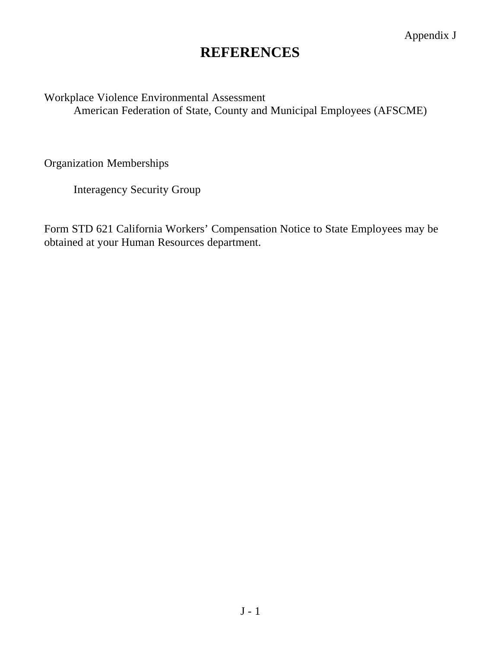# **REFERENCES**

Workplace Violence Environmental Assessment American Federation of State, County and Municipal Employees (AFSCME)

Organization Memberships

Interagency Security Group

Form STD 621 California Workers' Compensation Notice to State Employees may be obtained at your Human Resources department.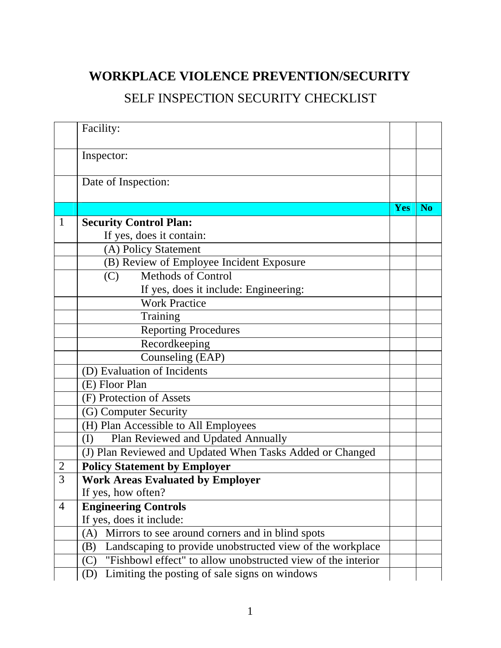# **WORKPLACE VIOLENCE PREVENTION/SECURITY**

# SELF INSPECTION SECURITY CHECKLIST

|                | Facility:                                                           |     |           |
|----------------|---------------------------------------------------------------------|-----|-----------|
|                | Inspector:                                                          |     |           |
|                | Date of Inspection:                                                 |     |           |
|                |                                                                     | Yes | <b>No</b> |
| $\mathbf{1}$   | <b>Security Control Plan:</b>                                       |     |           |
|                | If yes, does it contain:                                            |     |           |
|                | (A) Policy Statement                                                |     |           |
|                | (B) Review of Employee Incident Exposure                            |     |           |
|                | <b>Methods of Control</b><br>(C)                                    |     |           |
|                | If yes, does it include: Engineering:                               |     |           |
|                | <b>Work Practice</b>                                                |     |           |
|                | Training                                                            |     |           |
|                | <b>Reporting Procedures</b>                                         |     |           |
|                | Recordkeeping                                                       |     |           |
|                | Counseling (EAP)                                                    |     |           |
|                | (D) Evaluation of Incidents                                         |     |           |
|                | (E) Floor Plan                                                      |     |           |
|                | (F) Protection of Assets                                            |     |           |
|                | (G) Computer Security                                               |     |           |
|                | (H) Plan Accessible to All Employees                                |     |           |
|                | Plan Reviewed and Updated Annually<br>(I)                           |     |           |
|                | (J) Plan Reviewed and Updated When Tasks Added or Changed           |     |           |
| $\overline{2}$ | <b>Policy Statement by Employer</b>                                 |     |           |
| 3              | <b>Work Areas Evaluated by Employer</b>                             |     |           |
|                | If yes, how often?                                                  |     |           |
| $\overline{4}$ | <b>Engineering Controls</b>                                         |     |           |
|                | If yes, does it include:                                            |     |           |
|                | Mirrors to see around corners and in blind spots<br>(A)             |     |           |
|                | Landscaping to provide unobstructed view of the workplace<br>(B)    |     |           |
|                | "Fishbowl effect" to allow unobstructed view of the interior<br>(C) |     |           |
|                | Limiting the posting of sale signs on windows<br>(D)                |     |           |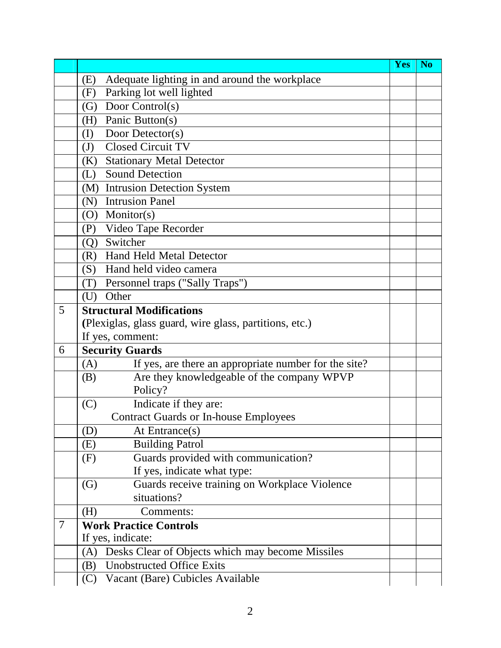|   |                                                              | <b>Yes</b> | <b>No</b> |
|---|--------------------------------------------------------------|------------|-----------|
|   | Adequate lighting in and around the workplace<br>(E)         |            |           |
|   | Parking lot well lighted<br>(F)                              |            |           |
|   | $\overline{(G)}$ Door Control(s)                             |            |           |
|   | Panic Button(s)<br>(H)                                       |            |           |
|   | Door Detector(s)<br>(I)                                      |            |           |
|   | <b>Closed Circuit TV</b><br>$\mathrm{J}$                     |            |           |
|   | <b>Stationary Metal Detector</b><br>(K)                      |            |           |
|   | <b>Sound Detection</b><br>(L)                                |            |           |
|   | <b>Intrusion Detection System</b><br>(M)                     |            |           |
|   | <b>Intrusion Panel</b><br>(N)                                |            |           |
|   | (O) Monitor(s)                                               |            |           |
|   | Video Tape Recorder<br>(P)                                   |            |           |
|   | Switcher<br>(Q)                                              |            |           |
|   | Hand Held Metal Detector<br>(R)                              |            |           |
|   | Hand held video camera<br>(S)                                |            |           |
|   | (T) Personnel traps ("Sally Traps")                          |            |           |
|   | Other<br>(U)                                                 |            |           |
| 5 | <b>Structural Modifications</b>                              |            |           |
|   | (Plexiglas, glass guard, wire glass, partitions, etc.)       |            |           |
|   | If yes, comment:                                             |            |           |
| 6 | <b>Security Guards</b>                                       |            |           |
|   | If yes, are there an appropriate number for the site?<br>(A) |            |           |
|   | Are they knowledgeable of the company WPVP<br>(B)            |            |           |
|   | Policy?                                                      |            |           |
|   | Indicate if they are:<br>(C)                                 |            |           |
|   | <b>Contract Guards or In-house Employees</b>                 |            |           |
|   | At Entrance(s)<br>(D)                                        |            |           |
|   | <b>Building Patrol</b><br>(E)                                |            |           |
|   | Guards provided with communication?<br>(F)                   |            |           |
|   | If yes, indicate what type:                                  |            |           |
|   | Guards receive training on Workplace Violence<br>(G)         |            |           |
|   | situations?                                                  |            |           |
|   | (H)<br>Comments:                                             |            |           |
| 7 | <b>Work Practice Controls</b>                                |            |           |
|   | If yes, indicate:                                            |            |           |
|   | Desks Clear of Objects which may become Missiles<br>(A)      |            |           |
|   | <b>Unobstructed Office Exits</b><br>(B)                      |            |           |
|   | Vacant (Bare) Cubicles Available<br>(C)                      |            |           |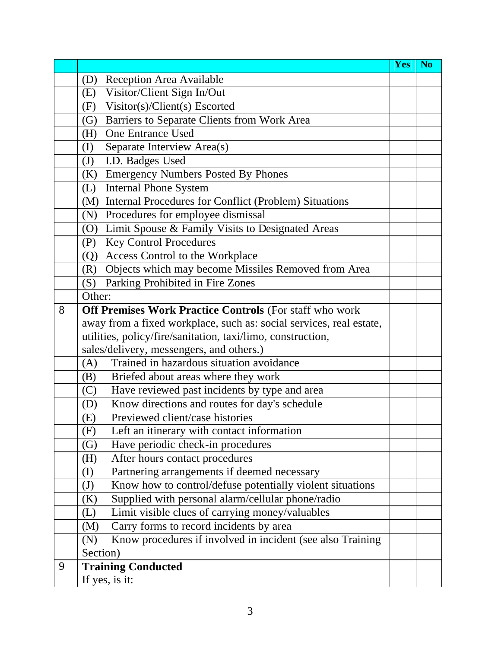|   |                                                                             | <b>Yes</b> | <b>No</b> |
|---|-----------------------------------------------------------------------------|------------|-----------|
|   | Reception Area Available<br>(D)                                             |            |           |
|   | Visitor/Client Sign In/Out<br>(E)                                           |            |           |
|   | Visitor(s)/Client(s) Escorted<br>(F)                                        |            |           |
|   | Barriers to Separate Clients from Work Area<br>(G)                          |            |           |
|   | <b>One Entrance Used</b><br>(H)                                             |            |           |
|   | Separate Interview Area(s)<br>(I)                                           |            |           |
|   | I.D. Badges Used<br>$\mathrm{(J)}$                                          |            |           |
|   | <b>Emergency Numbers Posted By Phones</b><br>(K)                            |            |           |
|   | <b>Internal Phone System</b><br>(L)                                         |            |           |
|   | Internal Procedures for Conflict (Problem) Situations<br>(M)                |            |           |
|   | Procedures for employee dismissal<br>(N)                                    |            |           |
|   | Limit Spouse & Family Visits to Designated Areas<br>(O)                     |            |           |
|   | <b>Key Control Procedures</b><br>(P)                                        |            |           |
|   | Access Control to the Workplace<br>(Q)                                      |            |           |
|   | Objects which may become Missiles Removed from Area<br>(R)                  |            |           |
|   | Parking Prohibited in Fire Zones<br>(S)                                     |            |           |
|   | Other:                                                                      |            |           |
| 8 | <b>Off Premises Work Practice Controls (For staff who work</b>              |            |           |
|   | away from a fixed workplace, such as: social services, real estate,         |            |           |
|   | utilities, policy/fire/sanitation, taxi/limo, construction,                 |            |           |
|   | sales/delivery, messengers, and others.)                                    |            |           |
|   | Trained in hazardous situation avoidance<br>(A)                             |            |           |
|   | Briefed about areas where they work<br>(B)                                  |            |           |
|   | Have reviewed past incidents by type and area<br>(C)                        |            |           |
|   | Know directions and routes for day's schedule<br>(D)                        |            |           |
|   | Previewed client/case histories<br>(E)                                      |            |           |
|   | (F)<br>Left an itinerary with contact information                           |            |           |
|   | Have periodic check-in procedures<br>$\left( G\right)$                      |            |           |
|   | After hours contact procedures<br>(H)                                       |            |           |
|   | Partnering arrangements if deemed necessary<br>(I)                          |            |           |
|   | Know how to control/defuse potentially violent situations<br>$\mathrm{(J)}$ |            |           |
|   | Supplied with personal alarm/cellular phone/radio<br>(K)                    |            |           |
|   | Limit visible clues of carrying money/valuables<br>(L)                      |            |           |
|   | Carry forms to record incidents by area<br>(M)                              |            |           |
|   | Know procedures if involved in incident (see also Training<br>(N)           |            |           |
|   | Section)                                                                    |            |           |
| 9 | <b>Training Conducted</b>                                                   |            |           |
|   | If yes, is it:                                                              |            |           |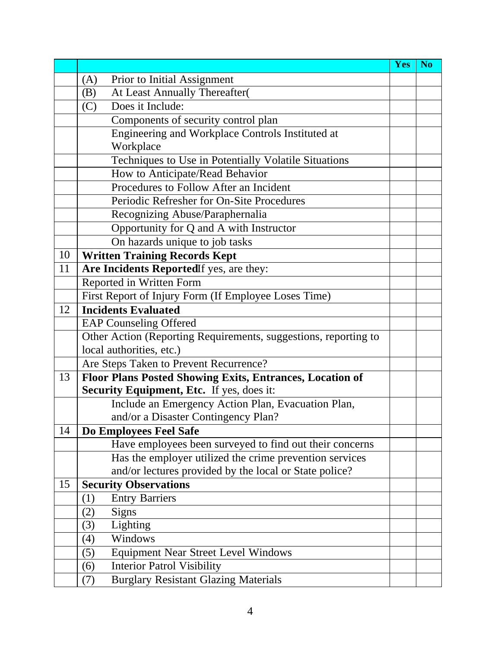|    |                                                                 | <b>Yes</b> | N <sub>o</sub> |  |
|----|-----------------------------------------------------------------|------------|----------------|--|
|    | Prior to Initial Assignment<br>(A)                              |            |                |  |
|    | At Least Annually Thereafter(<br>(B)                            |            |                |  |
|    | Does it Include:<br>(C)                                         |            |                |  |
|    | Components of security control plan                             |            |                |  |
|    | Engineering and Workplace Controls Instituted at                |            |                |  |
|    | Workplace                                                       |            |                |  |
|    | Techniques to Use in Potentially Volatile Situations            |            |                |  |
|    | How to Anticipate/Read Behavior                                 |            |                |  |
|    | Procedures to Follow After an Incident                          |            |                |  |
|    | Periodic Refresher for On-Site Procedures                       |            |                |  |
|    | Recognizing Abuse/Paraphernalia                                 |            |                |  |
|    | Opportunity for Q and A with Instructor                         |            |                |  |
|    | On hazards unique to job tasks                                  |            |                |  |
| 10 | <b>Written Training Records Kept</b>                            |            |                |  |
| 11 | Are Incidents Reported f yes, are they:                         |            |                |  |
|    | Reported in Written Form                                        |            |                |  |
|    | First Report of Injury Form (If Employee Loses Time)            |            |                |  |
| 12 | <b>Incidents Evaluated</b>                                      |            |                |  |
|    | <b>EAP Counseling Offered</b>                                   |            |                |  |
|    | Other Action (Reporting Requirements, suggestions, reporting to |            |                |  |
|    | local authorities, etc.)                                        |            |                |  |
|    | Are Steps Taken to Prevent Recurrence?                          |            |                |  |
| 13 | <b>Floor Plans Posted Showing Exits, Entrances, Location of</b> |            |                |  |
|    | Security Equipment, Etc. If yes, does it:                       |            |                |  |
|    | Include an Emergency Action Plan, Evacuation Plan,              |            |                |  |
|    | and/or a Disaster Contingency Plan?                             |            |                |  |
| 14 | Do Employees Feel Safe                                          |            |                |  |
|    | Have employees been surveyed to find out their concerns         |            |                |  |
|    | Has the employer utilized the crime prevention services         |            |                |  |
|    | and/or lectures provided by the local or State police?          |            |                |  |
| 15 | <b>Security Observations</b>                                    |            |                |  |
|    | <b>Entry Barriers</b><br>(1)                                    |            |                |  |
|    | <b>Signs</b><br>(2)                                             |            |                |  |
|    | Lighting<br>(3)                                                 |            |                |  |
|    | Windows<br>(4)                                                  |            |                |  |
|    | <b>Equipment Near Street Level Windows</b><br>(5)               |            |                |  |
|    | <b>Interior Patrol Visibility</b><br>(6)                        |            |                |  |
|    | <b>Burglary Resistant Glazing Materials</b><br>(7)              |            |                |  |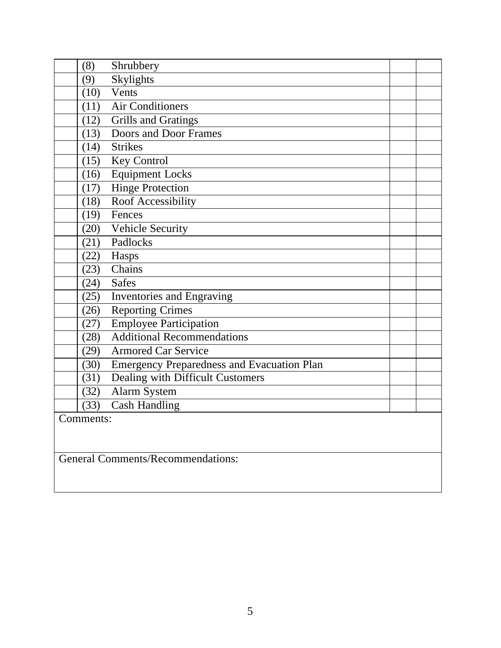| (8)                                      | Shrubbery                                         |  |  |  |
|------------------------------------------|---------------------------------------------------|--|--|--|
| (9)                                      | <b>Skylights</b>                                  |  |  |  |
| (10)                                     | Vents                                             |  |  |  |
| (11)                                     | <b>Air Conditioners</b>                           |  |  |  |
| (12)                                     | <b>Grills and Gratings</b>                        |  |  |  |
| (13)                                     | <b>Doors and Door Frames</b>                      |  |  |  |
| (14)                                     | <b>Strikes</b>                                    |  |  |  |
| (15)                                     | Key Control                                       |  |  |  |
| (16)                                     | <b>Equipment Locks</b>                            |  |  |  |
| (17)                                     | <b>Hinge Protection</b>                           |  |  |  |
| (18)                                     | Roof Accessibility                                |  |  |  |
| (19)                                     | Fences                                            |  |  |  |
| (20)                                     | <b>Vehicle Security</b>                           |  |  |  |
|                                          | $(21)$ Padlocks                                   |  |  |  |
| (22)                                     | Hasps                                             |  |  |  |
| (23)                                     | Chains                                            |  |  |  |
| (24)                                     | <b>Safes</b>                                      |  |  |  |
| (25)                                     | Inventories and Engraving                         |  |  |  |
| (26)                                     | <b>Reporting Crimes</b>                           |  |  |  |
| (27)                                     | <b>Employee Participation</b>                     |  |  |  |
| (28)                                     | <b>Additional Recommendations</b>                 |  |  |  |
| (29)                                     | <b>Armored Car Service</b>                        |  |  |  |
| (30)                                     | <b>Emergency Preparedness and Evacuation Plan</b> |  |  |  |
| (31)                                     | Dealing with Difficult Customers                  |  |  |  |
| (32)                                     | <b>Alarm System</b>                               |  |  |  |
| (33)                                     | <b>Cash Handling</b>                              |  |  |  |
| Comments:                                |                                                   |  |  |  |
|                                          |                                                   |  |  |  |
|                                          |                                                   |  |  |  |
| <b>General Comments/Recommendations:</b> |                                                   |  |  |  |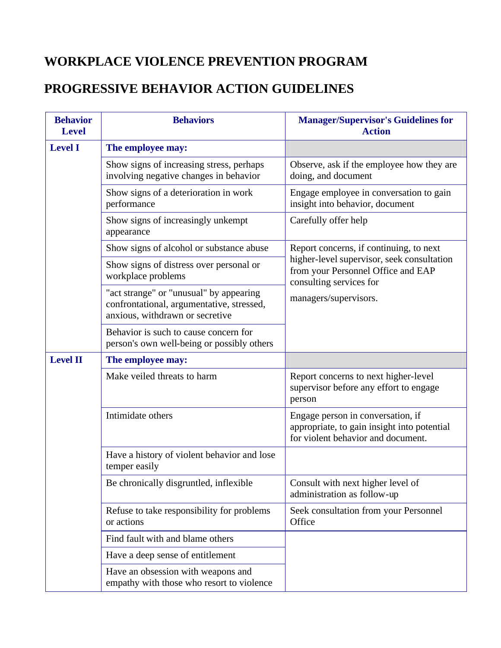## **WORKPLACE VIOLENCE PREVENTION PROGRAM**

## **PROGRESSIVE BEHAVIOR ACTION GUIDELINES**

| <b>Behavior</b><br><b>Level</b> | <b>Behaviors</b>                                                                                                        | <b>Manager/Supervisor's Guidelines for</b><br><b>Action</b>                                                            |  |
|---------------------------------|-------------------------------------------------------------------------------------------------------------------------|------------------------------------------------------------------------------------------------------------------------|--|
| <b>Level I</b>                  | The employee may:                                                                                                       |                                                                                                                        |  |
|                                 | Show signs of increasing stress, perhaps<br>involving negative changes in behavior                                      | Observe, ask if the employee how they are<br>doing, and document                                                       |  |
|                                 | Show signs of a deterioration in work<br>performance                                                                    | Engage employee in conversation to gain<br>insight into behavior, document                                             |  |
|                                 | Show signs of increasingly unkempt<br>appearance                                                                        | Carefully offer help                                                                                                   |  |
|                                 | Show signs of alcohol or substance abuse                                                                                | Report concerns, if continuing, to next                                                                                |  |
|                                 | Show signs of distress over personal or<br>workplace problems                                                           | higher-level supervisor, seek consultation<br>from your Personnel Office and EAP<br>consulting services for            |  |
|                                 | "act strange" or "unusual" by appearing<br>confrontational, argumentative, stressed,<br>anxious, withdrawn or secretive | managers/supervisors.                                                                                                  |  |
|                                 | Behavior is such to cause concern for<br>person's own well-being or possibly others                                     |                                                                                                                        |  |
| <b>Level II</b>                 | The employee may:                                                                                                       |                                                                                                                        |  |
|                                 | Make veiled threats to harm                                                                                             | Report concerns to next higher-level<br>supervisor before any effort to engage<br>person                               |  |
|                                 | Intimidate others                                                                                                       | Engage person in conversation, if<br>appropriate, to gain insight into potential<br>for violent behavior and document. |  |
|                                 | Have a history of violent behavior and lose<br>temper easily                                                            |                                                                                                                        |  |
|                                 | Be chronically disgruntled, inflexible                                                                                  | Consult with next higher level of<br>administration as follow-up                                                       |  |
|                                 | Refuse to take responsibility for problems<br>or actions                                                                | Seek consultation from your Personnel<br>Office                                                                        |  |
|                                 | Find fault with and blame others                                                                                        |                                                                                                                        |  |
|                                 | Have a deep sense of entitlement                                                                                        |                                                                                                                        |  |
|                                 | Have an obsession with weapons and<br>empathy with those who resort to violence                                         |                                                                                                                        |  |